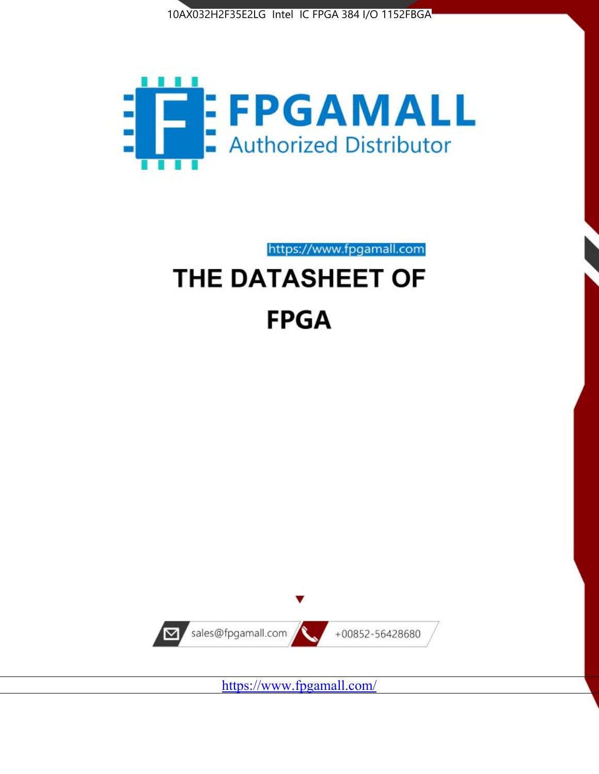



https://www.fpgamall.com THE DATASHEET OF

# **FPGA**



<https://www.fpgamall.com/>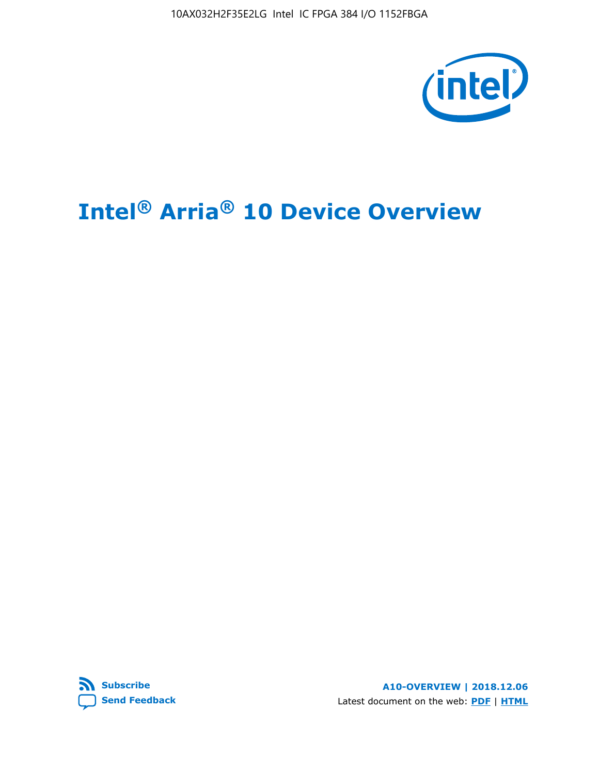10AX032H2F35E2LG Intel IC FPGA 384 I/O 1152FBGA



# **Intel® Arria® 10 Device Overview**



**A10-OVERVIEW | 2018.12.06** Latest document on the web: **[PDF](https://www.intel.com/content/dam/www/programmable/us/en/pdfs/literature/hb/arria-10/a10_overview.pdf)** | **[HTML](https://www.intel.com/content/www/us/en/programmable/documentation/sam1403480274650.html)**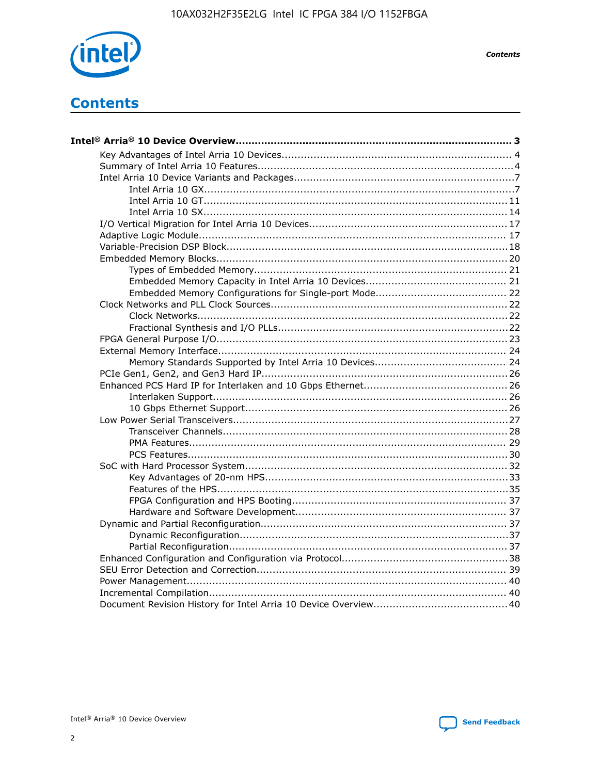

**Contents** 

## **Contents**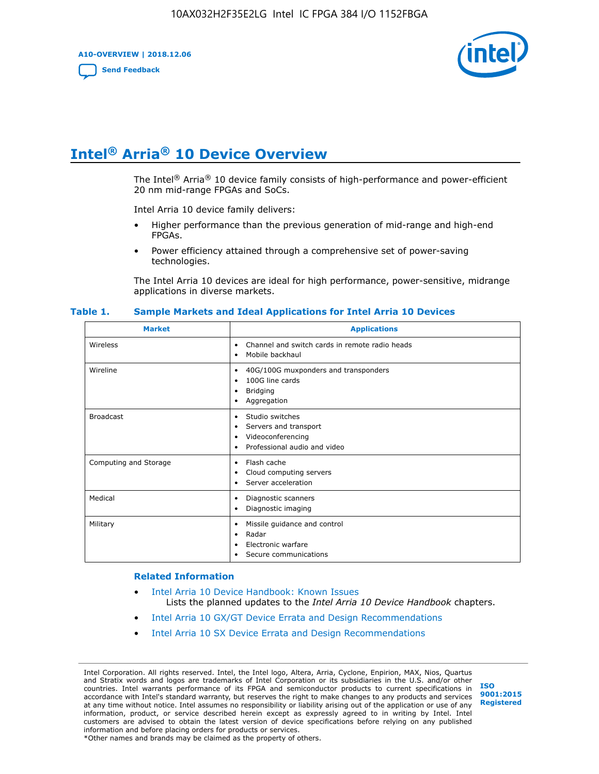**A10-OVERVIEW | 2018.12.06**

**[Send Feedback](mailto:FPGAtechdocfeedback@intel.com?subject=Feedback%20on%20Intel%20Arria%2010%20Device%20Overview%20(A10-OVERVIEW%202018.12.06)&body=We%20appreciate%20your%20feedback.%20In%20your%20comments,%20also%20specify%20the%20page%20number%20or%20paragraph.%20Thank%20you.)**



## **Intel® Arria® 10 Device Overview**

The Intel<sup>®</sup> Arria<sup>®</sup> 10 device family consists of high-performance and power-efficient 20 nm mid-range FPGAs and SoCs.

Intel Arria 10 device family delivers:

- Higher performance than the previous generation of mid-range and high-end FPGAs.
- Power efficiency attained through a comprehensive set of power-saving technologies.

The Intel Arria 10 devices are ideal for high performance, power-sensitive, midrange applications in diverse markets.

| <b>Market</b>         | <b>Applications</b>                                                                                               |
|-----------------------|-------------------------------------------------------------------------------------------------------------------|
| Wireless              | Channel and switch cards in remote radio heads<br>٠<br>Mobile backhaul<br>٠                                       |
| Wireline              | 40G/100G muxponders and transponders<br>٠<br>100G line cards<br>٠<br><b>Bridging</b><br>٠<br>Aggregation<br>٠     |
| <b>Broadcast</b>      | Studio switches<br>٠<br>Servers and transport<br>٠<br>Videoconferencing<br>٠<br>Professional audio and video<br>٠ |
| Computing and Storage | Flash cache<br>٠<br>Cloud computing servers<br>٠<br>Server acceleration<br>٠                                      |
| Medical               | Diagnostic scanners<br>٠<br>Diagnostic imaging<br>٠                                                               |
| Military              | Missile guidance and control<br>٠<br>Radar<br>٠<br>Electronic warfare<br>٠<br>Secure communications<br>٠          |

#### **Table 1. Sample Markets and Ideal Applications for Intel Arria 10 Devices**

#### **Related Information**

- [Intel Arria 10 Device Handbook: Known Issues](http://www.altera.com/support/kdb/solutions/rd07302013_646.html) Lists the planned updates to the *Intel Arria 10 Device Handbook* chapters.
- [Intel Arria 10 GX/GT Device Errata and Design Recommendations](https://www.intel.com/content/www/us/en/programmable/documentation/agz1493851706374.html#yqz1494433888646)
- [Intel Arria 10 SX Device Errata and Design Recommendations](https://www.intel.com/content/www/us/en/programmable/documentation/cru1462832385668.html#cru1462832558642)

Intel Corporation. All rights reserved. Intel, the Intel logo, Altera, Arria, Cyclone, Enpirion, MAX, Nios, Quartus and Stratix words and logos are trademarks of Intel Corporation or its subsidiaries in the U.S. and/or other countries. Intel warrants performance of its FPGA and semiconductor products to current specifications in accordance with Intel's standard warranty, but reserves the right to make changes to any products and services at any time without notice. Intel assumes no responsibility or liability arising out of the application or use of any information, product, or service described herein except as expressly agreed to in writing by Intel. Intel customers are advised to obtain the latest version of device specifications before relying on any published information and before placing orders for products or services. \*Other names and brands may be claimed as the property of others.

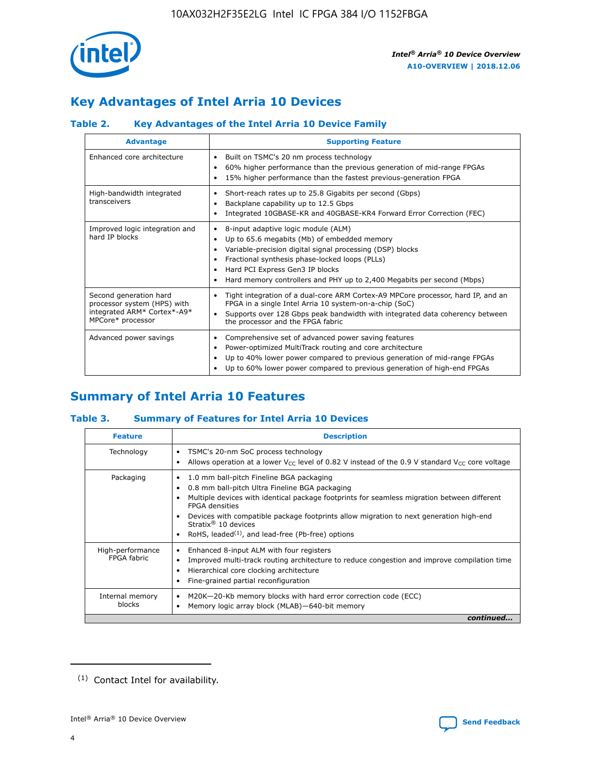

## **Key Advantages of Intel Arria 10 Devices**

### **Table 2. Key Advantages of the Intel Arria 10 Device Family**

| <b>Advantage</b>                                                                                          | <b>Supporting Feature</b>                                                                                                                                                                                                                                                                                                     |
|-----------------------------------------------------------------------------------------------------------|-------------------------------------------------------------------------------------------------------------------------------------------------------------------------------------------------------------------------------------------------------------------------------------------------------------------------------|
| Enhanced core architecture                                                                                | Built on TSMC's 20 nm process technology<br>٠<br>60% higher performance than the previous generation of mid-range FPGAs<br>٠<br>15% higher performance than the fastest previous-generation FPGA<br>٠                                                                                                                         |
| High-bandwidth integrated<br>transceivers                                                                 | Short-reach rates up to 25.8 Gigabits per second (Gbps)<br>٠<br>Backplane capability up to 12.5 Gbps<br>٠<br>Integrated 10GBASE-KR and 40GBASE-KR4 Forward Error Correction (FEC)<br>٠                                                                                                                                        |
| Improved logic integration and<br>hard IP blocks                                                          | 8-input adaptive logic module (ALM)<br>٠<br>Up to 65.6 megabits (Mb) of embedded memory<br>٠<br>Variable-precision digital signal processing (DSP) blocks<br>Fractional synthesis phase-locked loops (PLLs)<br>٠<br>Hard PCI Express Gen3 IP blocks<br>Hard memory controllers and PHY up to 2,400 Megabits per second (Mbps) |
| Second generation hard<br>processor system (HPS) with<br>integrated ARM* Cortex*-A9*<br>MPCore* processor | Tight integration of a dual-core ARM Cortex-A9 MPCore processor, hard IP, and an<br>٠<br>FPGA in a single Intel Arria 10 system-on-a-chip (SoC)<br>Supports over 128 Gbps peak bandwidth with integrated data coherency between<br>$\bullet$<br>the processor and the FPGA fabric                                             |
| Advanced power savings                                                                                    | Comprehensive set of advanced power saving features<br>٠<br>Power-optimized MultiTrack routing and core architecture<br>٠<br>Up to 40% lower power compared to previous generation of mid-range FPGAs<br>٠<br>Up to 60% lower power compared to previous generation of high-end FPGAs<br>٠                                    |

## **Summary of Intel Arria 10 Features**

#### **Table 3. Summary of Features for Intel Arria 10 Devices**

| <b>Feature</b>                  | <b>Description</b>                                                                                                                                                                                                                                                                                                                                                                                 |
|---------------------------------|----------------------------------------------------------------------------------------------------------------------------------------------------------------------------------------------------------------------------------------------------------------------------------------------------------------------------------------------------------------------------------------------------|
| Technology                      | TSMC's 20-nm SoC process technology<br>Allows operation at a lower $V_{\text{CC}}$ level of 0.82 V instead of the 0.9 V standard $V_{\text{CC}}$ core voltage                                                                                                                                                                                                                                      |
| Packaging                       | 1.0 mm ball-pitch Fineline BGA packaging<br>٠<br>0.8 mm ball-pitch Ultra Fineline BGA packaging<br>Multiple devices with identical package footprints for seamless migration between different<br><b>FPGA</b> densities<br>Devices with compatible package footprints allow migration to next generation high-end<br>Stratix $@10$ devices<br>RoHS, leaded $(1)$ , and lead-free (Pb-free) options |
| High-performance<br>FPGA fabric | Enhanced 8-input ALM with four registers<br>Improved multi-track routing architecture to reduce congestion and improve compilation time<br>Hierarchical core clocking architecture<br>Fine-grained partial reconfiguration                                                                                                                                                                         |
| Internal memory<br>blocks       | M20K-20-Kb memory blocks with hard error correction code (ECC)<br>Memory logic array block (MLAB)-640-bit memory                                                                                                                                                                                                                                                                                   |
|                                 | continued                                                                                                                                                                                                                                                                                                                                                                                          |



<sup>(1)</sup> Contact Intel for availability.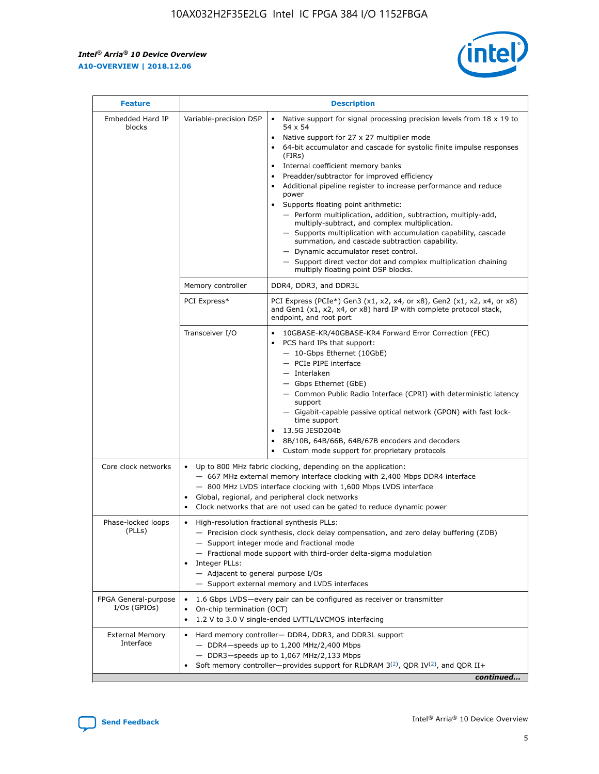r



| <b>Feature</b>                         | <b>Description</b>                                                                                             |                                                                                                                                                                                                                                                                                                                                                                                                                                                                                                                                                                                                                                                                                                                                                                                                                                        |  |  |  |  |  |
|----------------------------------------|----------------------------------------------------------------------------------------------------------------|----------------------------------------------------------------------------------------------------------------------------------------------------------------------------------------------------------------------------------------------------------------------------------------------------------------------------------------------------------------------------------------------------------------------------------------------------------------------------------------------------------------------------------------------------------------------------------------------------------------------------------------------------------------------------------------------------------------------------------------------------------------------------------------------------------------------------------------|--|--|--|--|--|
| Embedded Hard IP<br>blocks             | Variable-precision DSP                                                                                         | Native support for signal processing precision levels from $18 \times 19$ to<br>54 x 54<br>Native support for 27 x 27 multiplier mode<br>64-bit accumulator and cascade for systolic finite impulse responses<br>(FIRs)<br>Internal coefficient memory banks<br>$\bullet$<br>Preadder/subtractor for improved efficiency<br>Additional pipeline register to increase performance and reduce<br>power<br>Supports floating point arithmetic:<br>- Perform multiplication, addition, subtraction, multiply-add,<br>multiply-subtract, and complex multiplication.<br>- Supports multiplication with accumulation capability, cascade<br>summation, and cascade subtraction capability.<br>- Dynamic accumulator reset control.<br>- Support direct vector dot and complex multiplication chaining<br>multiply floating point DSP blocks. |  |  |  |  |  |
|                                        | Memory controller                                                                                              | DDR4, DDR3, and DDR3L                                                                                                                                                                                                                                                                                                                                                                                                                                                                                                                                                                                                                                                                                                                                                                                                                  |  |  |  |  |  |
|                                        | PCI Express*                                                                                                   | PCI Express (PCIe*) Gen3 (x1, x2, x4, or x8), Gen2 (x1, x2, x4, or x8)<br>and Gen1 (x1, x2, x4, or x8) hard IP with complete protocol stack,<br>endpoint, and root port                                                                                                                                                                                                                                                                                                                                                                                                                                                                                                                                                                                                                                                                |  |  |  |  |  |
|                                        | Transceiver I/O                                                                                                | 10GBASE-KR/40GBASE-KR4 Forward Error Correction (FEC)<br>PCS hard IPs that support:<br>$\bullet$<br>- 10-Gbps Ethernet (10GbE)<br>- PCIe PIPE interface<br>$-$ Interlaken<br>- Gbps Ethernet (GbE)<br>- Common Public Radio Interface (CPRI) with deterministic latency<br>support<br>- Gigabit-capable passive optical network (GPON) with fast lock-<br>time support<br>13.5G JESD204b<br>$\bullet$<br>8B/10B, 64B/66B, 64B/67B encoders and decoders<br>Custom mode support for proprietary protocols                                                                                                                                                                                                                                                                                                                               |  |  |  |  |  |
| Core clock networks                    | $\bullet$<br>$\bullet$                                                                                         | Up to 800 MHz fabric clocking, depending on the application:<br>- 667 MHz external memory interface clocking with 2,400 Mbps DDR4 interface<br>- 800 MHz LVDS interface clocking with 1,600 Mbps LVDS interface<br>Global, regional, and peripheral clock networks<br>Clock networks that are not used can be gated to reduce dynamic power                                                                                                                                                                                                                                                                                                                                                                                                                                                                                            |  |  |  |  |  |
| Phase-locked loops<br>(PLLs)           | High-resolution fractional synthesis PLLs:<br>$\bullet$<br>Integer PLLs:<br>- Adjacent to general purpose I/Os | - Precision clock synthesis, clock delay compensation, and zero delay buffering (ZDB)<br>- Support integer mode and fractional mode<br>- Fractional mode support with third-order delta-sigma modulation<br>- Support external memory and LVDS interfaces                                                                                                                                                                                                                                                                                                                                                                                                                                                                                                                                                                              |  |  |  |  |  |
| FPGA General-purpose<br>$I/Os$ (GPIOs) | On-chip termination (OCT)                                                                                      | 1.6 Gbps LVDS-every pair can be configured as receiver or transmitter<br>1.2 V to 3.0 V single-ended LVTTL/LVCMOS interfacing                                                                                                                                                                                                                                                                                                                                                                                                                                                                                                                                                                                                                                                                                                          |  |  |  |  |  |
| <b>External Memory</b><br>Interface    |                                                                                                                | Hard memory controller- DDR4, DDR3, and DDR3L support<br>$-$ DDR4-speeds up to 1,200 MHz/2,400 Mbps<br>- DDR3-speeds up to 1,067 MHz/2,133 Mbps<br>Soft memory controller—provides support for RLDRAM $3^{(2)}$ , QDR IV $^{(2)}$ , and QDR II+<br>continued                                                                                                                                                                                                                                                                                                                                                                                                                                                                                                                                                                           |  |  |  |  |  |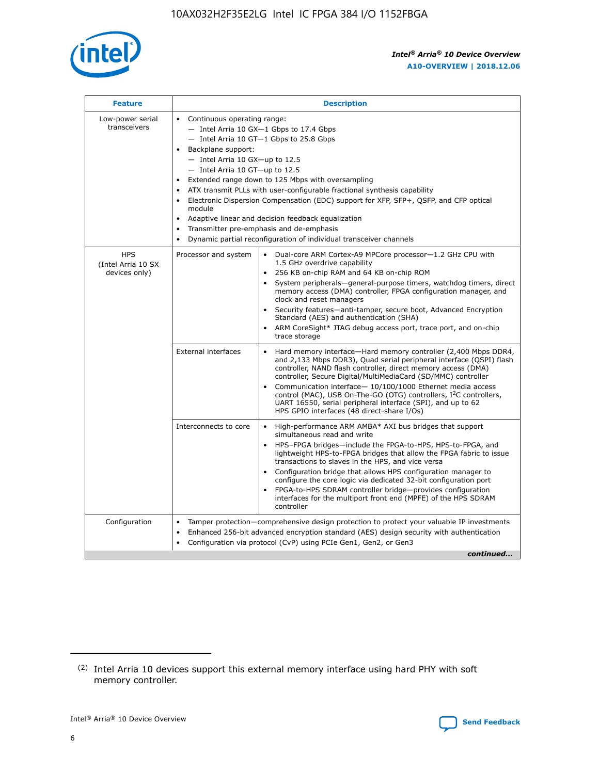

| <b>Feature</b>                                    | <b>Description</b>                                                                                                                                                                                                                                                                                                                                                                                                                                                                                                                                                                                                                                  |
|---------------------------------------------------|-----------------------------------------------------------------------------------------------------------------------------------------------------------------------------------------------------------------------------------------------------------------------------------------------------------------------------------------------------------------------------------------------------------------------------------------------------------------------------------------------------------------------------------------------------------------------------------------------------------------------------------------------------|
| Low-power serial<br>transceivers                  | • Continuous operating range:<br>- Intel Arria 10 GX-1 Gbps to 17.4 Gbps<br>- Intel Arria 10 GT-1 Gbps to 25.8 Gbps<br>Backplane support:<br>- Intel Arria 10 GX-up to 12.5<br>- Intel Arria 10 GT-up to 12.5<br>Extended range down to 125 Mbps with oversampling<br>ATX transmit PLLs with user-configurable fractional synthesis capability<br>Electronic Dispersion Compensation (EDC) support for XFP, SFP+, QSFP, and CFP optical<br>module<br>Adaptive linear and decision feedback equalization<br>$\bullet$<br>Transmitter pre-emphasis and de-emphasis<br>$\bullet$<br>Dynamic partial reconfiguration of individual transceiver channels |
| <b>HPS</b><br>(Intel Arria 10 SX<br>devices only) | Dual-core ARM Cortex-A9 MPCore processor-1.2 GHz CPU with<br>Processor and system<br>$\bullet$<br>1.5 GHz overdrive capability<br>256 KB on-chip RAM and 64 KB on-chip ROM<br>System peripherals—general-purpose timers, watchdog timers, direct<br>memory access (DMA) controller, FPGA configuration manager, and<br>clock and reset managers<br>Security features-anti-tamper, secure boot, Advanced Encryption<br>Standard (AES) and authentication (SHA)<br>ARM CoreSight* JTAG debug access port, trace port, and on-chip<br>trace storage                                                                                                    |
|                                                   | <b>External interfaces</b><br>Hard memory interface-Hard memory controller (2,400 Mbps DDR4,<br>$\bullet$<br>and 2,133 Mbps DDR3), Quad serial peripheral interface (QSPI) flash<br>controller, NAND flash controller, direct memory access (DMA)<br>controller, Secure Digital/MultiMediaCard (SD/MMC) controller<br>Communication interface-10/100/1000 Ethernet media access<br>control (MAC), USB On-The-GO (OTG) controllers, I <sup>2</sup> C controllers,<br>UART 16550, serial peripheral interface (SPI), and up to 62<br>HPS GPIO interfaces (48 direct-share I/Os)                                                                       |
|                                                   | High-performance ARM AMBA* AXI bus bridges that support<br>Interconnects to core<br>$\bullet$<br>simultaneous read and write<br>HPS-FPGA bridges-include the FPGA-to-HPS, HPS-to-FPGA, and<br>$\bullet$<br>lightweight HPS-to-FPGA bridges that allow the FPGA fabric to issue<br>transactions to slaves in the HPS, and vice versa<br>Configuration bridge that allows HPS configuration manager to<br>configure the core logic via dedicated 32-bit configuration port<br>FPGA-to-HPS SDRAM controller bridge-provides configuration<br>interfaces for the multiport front end (MPFE) of the HPS SDRAM<br>controller                              |
| Configuration                                     | Tamper protection—comprehensive design protection to protect your valuable IP investments<br>Enhanced 256-bit advanced encryption standard (AES) design security with authentication<br>٠<br>Configuration via protocol (CvP) using PCIe Gen1, Gen2, or Gen3<br>continued                                                                                                                                                                                                                                                                                                                                                                           |

<sup>(2)</sup> Intel Arria 10 devices support this external memory interface using hard PHY with soft memory controller.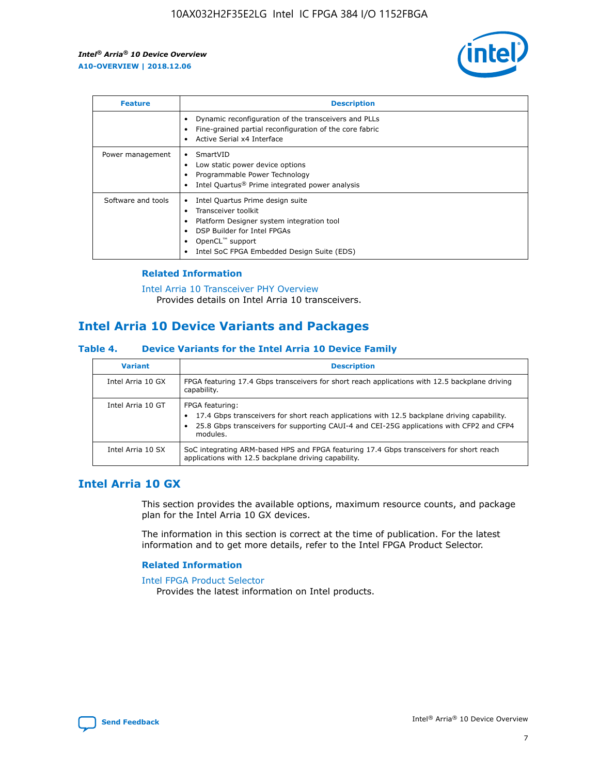

| <b>Feature</b>     | <b>Description</b>                                                                                                                                                                                                    |
|--------------------|-----------------------------------------------------------------------------------------------------------------------------------------------------------------------------------------------------------------------|
|                    | Dynamic reconfiguration of the transceivers and PLLs<br>Fine-grained partial reconfiguration of the core fabric<br>Active Serial x4 Interface                                                                         |
| Power management   | SmartVID<br>Low static power device options<br>Programmable Power Technology<br>Intel Quartus <sup>®</sup> Prime integrated power analysis                                                                            |
| Software and tools | Intel Quartus Prime design suite<br>Transceiver toolkit<br>٠<br>Platform Designer system integration tool<br>DSP Builder for Intel FPGAs<br>OpenCL <sup>™</sup> support<br>Intel SoC FPGA Embedded Design Suite (EDS) |

#### **Related Information**

[Intel Arria 10 Transceiver PHY Overview](https://www.intel.com/content/www/us/en/programmable/documentation/nik1398707230472.html#nik1398706768037) Provides details on Intel Arria 10 transceivers.

## **Intel Arria 10 Device Variants and Packages**

#### **Table 4. Device Variants for the Intel Arria 10 Device Family**

| <b>Variant</b>    | <b>Description</b>                                                                                                                                                                                                     |
|-------------------|------------------------------------------------------------------------------------------------------------------------------------------------------------------------------------------------------------------------|
| Intel Arria 10 GX | FPGA featuring 17.4 Gbps transceivers for short reach applications with 12.5 backplane driving<br>capability.                                                                                                          |
| Intel Arria 10 GT | FPGA featuring:<br>17.4 Gbps transceivers for short reach applications with 12.5 backplane driving capability.<br>25.8 Gbps transceivers for supporting CAUI-4 and CEI-25G applications with CFP2 and CFP4<br>modules. |
| Intel Arria 10 SX | SoC integrating ARM-based HPS and FPGA featuring 17.4 Gbps transceivers for short reach<br>applications with 12.5 backplane driving capability.                                                                        |

## **Intel Arria 10 GX**

This section provides the available options, maximum resource counts, and package plan for the Intel Arria 10 GX devices.

The information in this section is correct at the time of publication. For the latest information and to get more details, refer to the Intel FPGA Product Selector.

#### **Related Information**

#### [Intel FPGA Product Selector](http://www.altera.com/products/selector/psg-selector.html) Provides the latest information on Intel products.

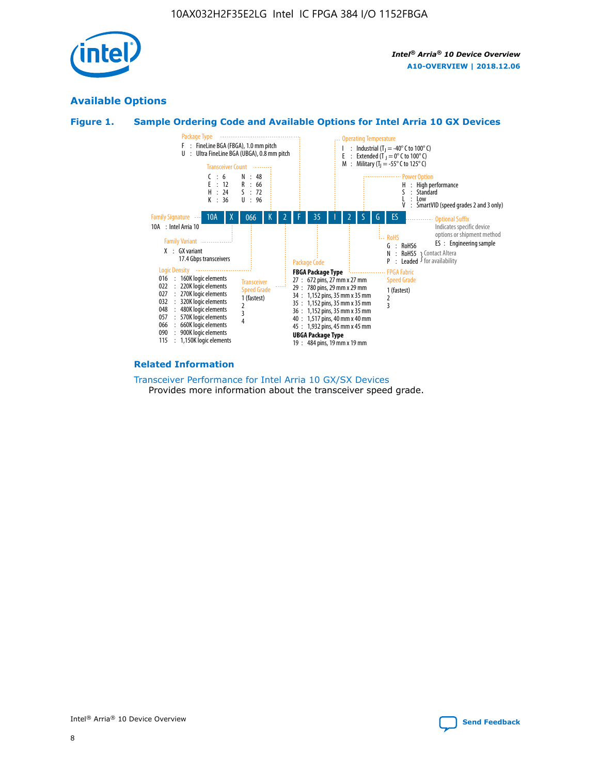

## **Available Options**





#### **Related Information**

[Transceiver Performance for Intel Arria 10 GX/SX Devices](https://www.intel.com/content/www/us/en/programmable/documentation/mcn1413182292568.html#mcn1413213965502) Provides more information about the transceiver speed grade.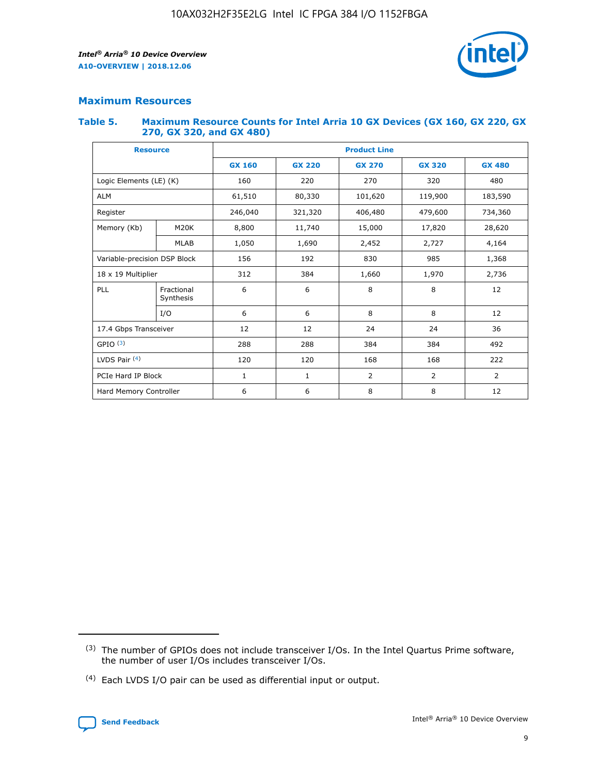

#### **Maximum Resources**

#### **Table 5. Maximum Resource Counts for Intel Arria 10 GX Devices (GX 160, GX 220, GX 270, GX 320, and GX 480)**

| <b>Resource</b>              |                         | <b>Product Line</b> |                                                 |                  |                |                |  |  |  |
|------------------------------|-------------------------|---------------------|-------------------------------------------------|------------------|----------------|----------------|--|--|--|
|                              |                         | <b>GX 160</b>       | <b>GX 220</b><br><b>GX 270</b><br><b>GX 320</b> |                  |                | <b>GX 480</b>  |  |  |  |
| Logic Elements (LE) (K)      |                         | 160                 | 220<br>320<br>270                               |                  |                | 480            |  |  |  |
| <b>ALM</b>                   |                         | 61,510              | 80,330                                          | 101,620          | 119,900        | 183,590        |  |  |  |
| Register                     |                         | 246,040             | 406,480<br>479,600<br>321,320                   |                  |                | 734,360        |  |  |  |
| Memory (Kb)                  | M <sub>20</sub> K       | 8,800               | 11,740                                          | 15,000<br>17,820 |                | 28,620         |  |  |  |
|                              | <b>MLAB</b>             | 1,050               | 1,690                                           | 2,452<br>2,727   |                | 4,164          |  |  |  |
| Variable-precision DSP Block |                         | 156                 | 192                                             | 830              | 985            |                |  |  |  |
| 18 x 19 Multiplier           |                         | 312                 | 384                                             | 1,660<br>1,970   |                | 2,736          |  |  |  |
| PLL                          | Fractional<br>Synthesis | 6                   | 6                                               | 8                | 8              | 12             |  |  |  |
|                              | I/O                     | 6                   | 6                                               | 8                | 8              | 12             |  |  |  |
| 17.4 Gbps Transceiver        |                         | 12                  | 12                                              | 24               | 24             | 36             |  |  |  |
| GPIO <sup>(3)</sup>          |                         | 288                 | 288                                             | 384              | 384            |                |  |  |  |
| LVDS Pair $(4)$              |                         | 120                 | 120                                             | 168              | 168            | 222            |  |  |  |
| PCIe Hard IP Block           |                         | $\mathbf{1}$        | 1                                               | $\overline{2}$   | $\overline{2}$ | $\overline{2}$ |  |  |  |
| Hard Memory Controller       |                         | 6                   | 6                                               | 8                | 8              |                |  |  |  |

<sup>(4)</sup> Each LVDS I/O pair can be used as differential input or output.



<sup>(3)</sup> The number of GPIOs does not include transceiver I/Os. In the Intel Quartus Prime software, the number of user I/Os includes transceiver I/Os.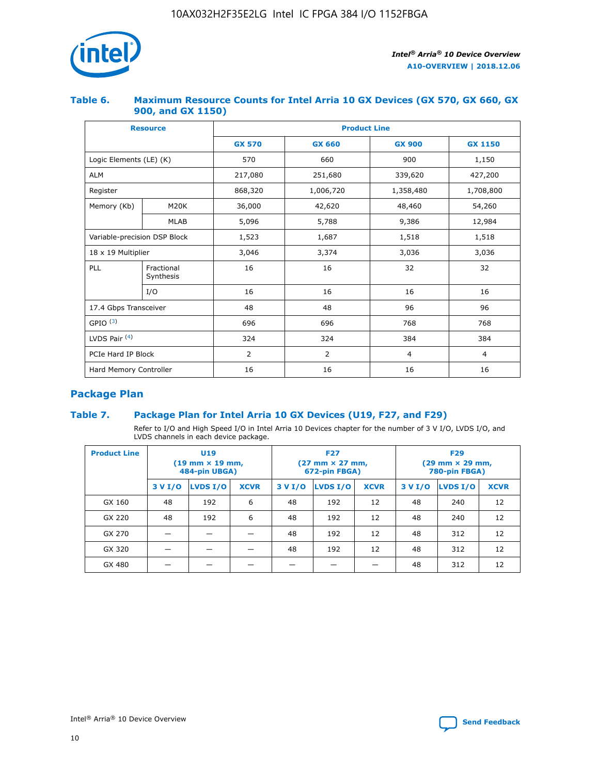

#### **Table 6. Maximum Resource Counts for Intel Arria 10 GX Devices (GX 570, GX 660, GX 900, and GX 1150)**

|                              | <b>Resource</b>         | <b>Product Line</b> |                |                |                |  |  |  |
|------------------------------|-------------------------|---------------------|----------------|----------------|----------------|--|--|--|
|                              |                         | <b>GX 570</b>       | <b>GX 660</b>  | <b>GX 900</b>  | <b>GX 1150</b> |  |  |  |
| Logic Elements (LE) (K)      |                         | 570                 | 660            | 900            | 1,150          |  |  |  |
| <b>ALM</b>                   |                         | 217,080             | 251,680        | 339,620        | 427,200        |  |  |  |
| Register                     |                         | 868,320             | 1,006,720      |                | 1,708,800      |  |  |  |
| Memory (Kb)                  | <b>M20K</b>             | 36,000              | 42,620         | 48,460         | 54,260         |  |  |  |
|                              | <b>MLAB</b>             | 5,096               | 5,788<br>9,386 |                | 12,984         |  |  |  |
| Variable-precision DSP Block |                         | 1,523               | 1,687          | 1,518          | 1,518          |  |  |  |
| $18 \times 19$ Multiplier    |                         | 3,046               | 3,374          | 3,036          | 3,036          |  |  |  |
| PLL                          | Fractional<br>Synthesis | 16                  | 16             | 32             | 32             |  |  |  |
|                              | I/O                     | 16                  | 16             | 16             | 16             |  |  |  |
| 17.4 Gbps Transceiver        |                         | 48                  | 48<br>96       |                | 96             |  |  |  |
| GPIO <sup>(3)</sup>          |                         | 696                 | 696            | 768            | 768            |  |  |  |
| LVDS Pair $(4)$              |                         | 324                 | 324            | 384            | 384            |  |  |  |
| PCIe Hard IP Block           |                         | 2                   | $\overline{2}$ | $\overline{4}$ | 4              |  |  |  |
| Hard Memory Controller       |                         | 16                  | 16             | 16             | 16             |  |  |  |

## **Package Plan**

#### **Table 7. Package Plan for Intel Arria 10 GX Devices (U19, F27, and F29)**

Refer to I/O and High Speed I/O in Intel Arria 10 Devices chapter for the number of 3 V I/O, LVDS I/O, and LVDS channels in each device package.

| <b>Product Line</b> | U <sub>19</sub><br>$(19 \text{ mm} \times 19 \text{ mm})$<br>484-pin UBGA) |          |             |         | <b>F27</b><br>(27 mm × 27 mm,<br>672-pin FBGA) |             | <b>F29</b><br>(29 mm × 29 mm,<br>780-pin FBGA) |          |             |  |
|---------------------|----------------------------------------------------------------------------|----------|-------------|---------|------------------------------------------------|-------------|------------------------------------------------|----------|-------------|--|
|                     | 3 V I/O                                                                    | LVDS I/O | <b>XCVR</b> | 3 V I/O | LVDS I/O                                       | <b>XCVR</b> | 3 V I/O                                        | LVDS I/O | <b>XCVR</b> |  |
| GX 160              | 48                                                                         | 192      | 6           | 48      | 192                                            | 12          | 48                                             | 240      | 12          |  |
| GX 220              | 48                                                                         | 192      | 6           | 48      | 192                                            | 12          | 48                                             | 240      | 12          |  |
| GX 270              |                                                                            |          |             | 48      | 192                                            | 12          | 48                                             | 312      | 12          |  |
| GX 320              |                                                                            |          |             | 48      | 192                                            | 12          | 48                                             | 312      | 12          |  |
| GX 480              |                                                                            |          |             |         |                                                |             | 48                                             | 312      | 12          |  |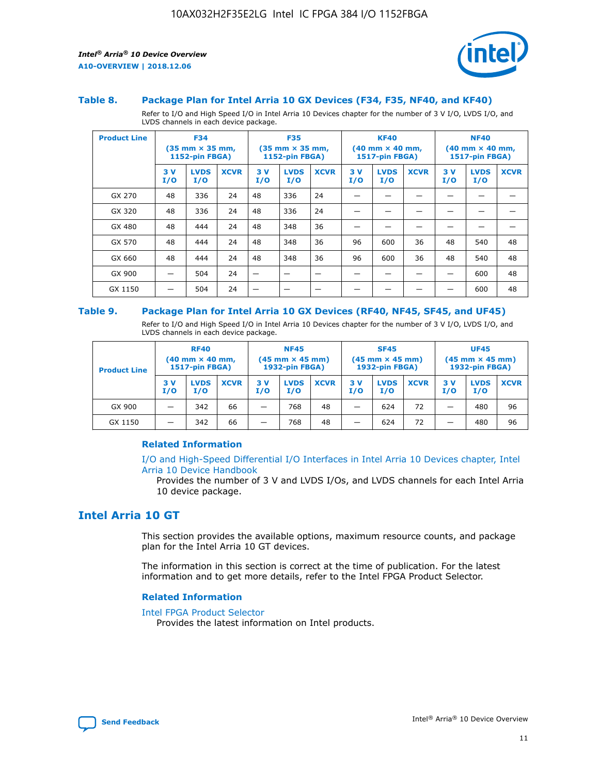

#### **Table 8. Package Plan for Intel Arria 10 GX Devices (F34, F35, NF40, and KF40)**

Refer to I/O and High Speed I/O in Intel Arria 10 Devices chapter for the number of 3 V I/O, LVDS I/O, and LVDS channels in each device package.

| <b>Product Line</b> | <b>F34</b><br>$(35 \text{ mm} \times 35 \text{ mm})$<br>1152-pin FBGA) |                    | <b>F35</b><br>$(35 \text{ mm} \times 35 \text{ mm})$<br><b>1152-pin FBGA)</b> |           | <b>KF40</b><br>$(40$ mm $\times$ 40 mm,<br>1517-pin FBGA) |             |           | <b>NF40</b><br>$(40$ mm $\times$ 40 mm,<br><b>1517-pin FBGA)</b> |             |            |                    |             |
|---------------------|------------------------------------------------------------------------|--------------------|-------------------------------------------------------------------------------|-----------|-----------------------------------------------------------|-------------|-----------|------------------------------------------------------------------|-------------|------------|--------------------|-------------|
|                     | 3V<br>I/O                                                              | <b>LVDS</b><br>I/O | <b>XCVR</b>                                                                   | 3V<br>I/O | <b>LVDS</b><br>I/O                                        | <b>XCVR</b> | 3V<br>I/O | <b>LVDS</b><br>I/O                                               | <b>XCVR</b> | 3 V<br>I/O | <b>LVDS</b><br>I/O | <b>XCVR</b> |
| GX 270              | 48                                                                     | 336                | 24                                                                            | 48        | 336                                                       | 24          |           |                                                                  |             |            |                    |             |
| GX 320              | 48                                                                     | 336                | 24                                                                            | 48        | 336                                                       | 24          |           |                                                                  |             |            |                    |             |
| GX 480              | 48                                                                     | 444                | 24                                                                            | 48        | 348                                                       | 36          |           |                                                                  |             |            |                    |             |
| GX 570              | 48                                                                     | 444                | 24                                                                            | 48        | 348                                                       | 36          | 96        | 600                                                              | 36          | 48         | 540                | 48          |
| GX 660              | 48                                                                     | 444                | 24                                                                            | 48        | 348                                                       | 36          | 96        | 600                                                              | 36          | 48         | 540                | 48          |
| GX 900              |                                                                        | 504                | 24                                                                            | -         |                                                           |             |           |                                                                  |             |            | 600                | 48          |
| GX 1150             |                                                                        | 504                | 24                                                                            |           |                                                           |             |           |                                                                  |             |            | 600                | 48          |

#### **Table 9. Package Plan for Intel Arria 10 GX Devices (RF40, NF45, SF45, and UF45)**

Refer to I/O and High Speed I/O in Intel Arria 10 Devices chapter for the number of 3 V I/O, LVDS I/O, and LVDS channels in each device package.

| <b>Product Line</b> | <b>RF40</b><br>$(40$ mm $\times$ 40 mm,<br>1517-pin FBGA) |                    | <b>NF45</b><br>$(45 \text{ mm} \times 45 \text{ mm})$<br><b>1932-pin FBGA)</b> |            |                    | <b>SF45</b><br>$(45 \text{ mm} \times 45 \text{ mm})$<br><b>1932-pin FBGA)</b> |            |                    | <b>UF45</b><br>$(45 \text{ mm} \times 45 \text{ mm})$<br><b>1932-pin FBGA)</b> |           |                    |             |
|---------------------|-----------------------------------------------------------|--------------------|--------------------------------------------------------------------------------|------------|--------------------|--------------------------------------------------------------------------------|------------|--------------------|--------------------------------------------------------------------------------|-----------|--------------------|-------------|
|                     | 3V<br>I/O                                                 | <b>LVDS</b><br>I/O | <b>XCVR</b>                                                                    | 3 V<br>I/O | <b>LVDS</b><br>I/O | <b>XCVR</b>                                                                    | 3 V<br>I/O | <b>LVDS</b><br>I/O | <b>XCVR</b>                                                                    | 3V<br>I/O | <b>LVDS</b><br>I/O | <b>XCVR</b> |
| GX 900              |                                                           | 342                | 66                                                                             | _          | 768                | 48                                                                             |            | 624                | 72                                                                             |           | 480                | 96          |
| GX 1150             |                                                           | 342                | 66                                                                             | _          | 768                | 48                                                                             |            | 624                | 72                                                                             |           | 480                | 96          |

#### **Related Information**

[I/O and High-Speed Differential I/O Interfaces in Intel Arria 10 Devices chapter, Intel](https://www.intel.com/content/www/us/en/programmable/documentation/sam1403482614086.html#sam1403482030321) [Arria 10 Device Handbook](https://www.intel.com/content/www/us/en/programmable/documentation/sam1403482614086.html#sam1403482030321)

Provides the number of 3 V and LVDS I/Os, and LVDS channels for each Intel Arria 10 device package.

## **Intel Arria 10 GT**

This section provides the available options, maximum resource counts, and package plan for the Intel Arria 10 GT devices.

The information in this section is correct at the time of publication. For the latest information and to get more details, refer to the Intel FPGA Product Selector.

#### **Related Information**

#### [Intel FPGA Product Selector](http://www.altera.com/products/selector/psg-selector.html)

Provides the latest information on Intel products.

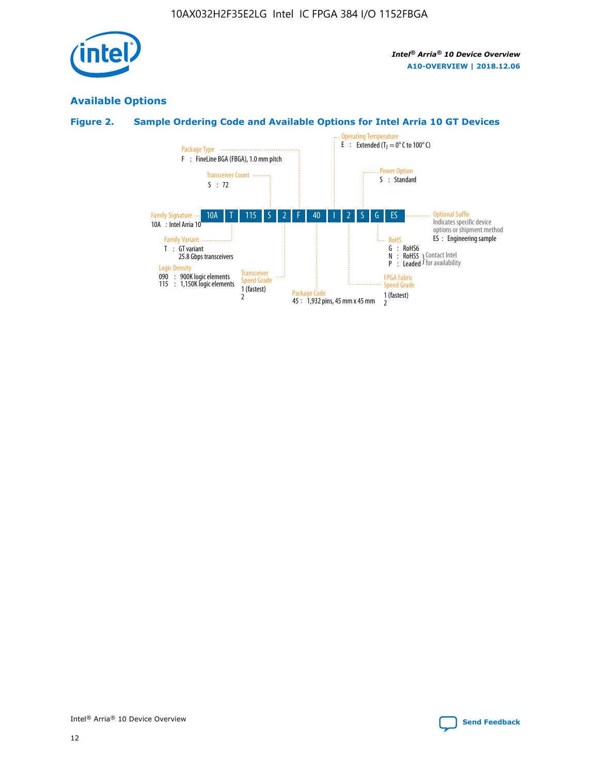

## **Available Options**

## **Figure 2. Sample Ordering Code and Available Options for Intel Arria 10 GT Devices**

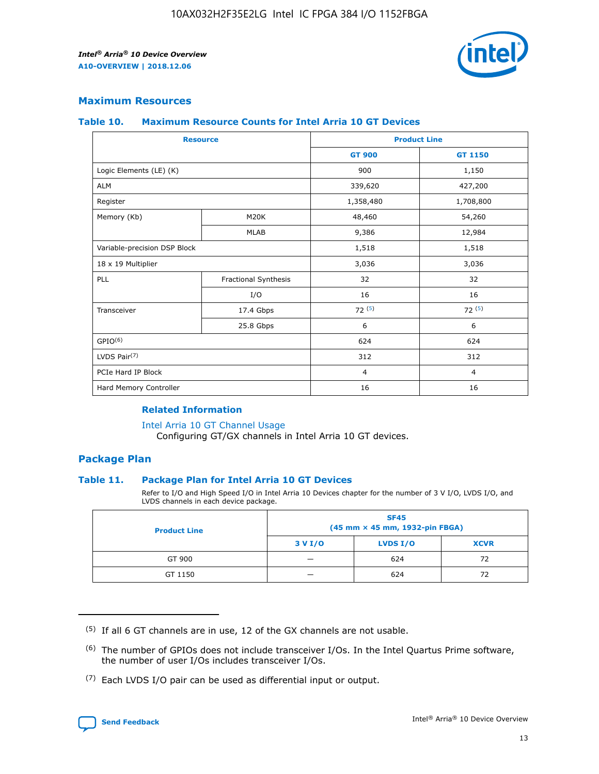

#### **Maximum Resources**

#### **Table 10. Maximum Resource Counts for Intel Arria 10 GT Devices**

| <b>Resource</b>              |                      | <b>Product Line</b> |                |  |
|------------------------------|----------------------|---------------------|----------------|--|
|                              |                      | <b>GT 900</b>       | <b>GT 1150</b> |  |
| Logic Elements (LE) (K)      |                      | 900                 | 1,150          |  |
| <b>ALM</b>                   |                      | 339,620             | 427,200        |  |
| Register                     |                      | 1,358,480           | 1,708,800      |  |
| Memory (Kb)                  | M20K                 | 48,460              | 54,260         |  |
|                              | <b>MLAB</b>          | 9,386               | 12,984         |  |
| Variable-precision DSP Block |                      | 1,518               | 1,518          |  |
| 18 x 19 Multiplier           |                      | 3,036               | 3,036          |  |
| PLL                          | Fractional Synthesis | 32                  | 32             |  |
|                              | I/O                  | 16                  | 16             |  |
| Transceiver                  | 17.4 Gbps            | 72(5)               | 72(5)          |  |
|                              | 25.8 Gbps            | 6                   | 6              |  |
| GPIO <sup>(6)</sup>          |                      | 624                 | 624            |  |
| LVDS Pair $(7)$              |                      | 312                 | 312            |  |
| PCIe Hard IP Block           |                      | $\overline{4}$      | $\overline{4}$ |  |
| Hard Memory Controller       |                      | 16                  | 16             |  |

#### **Related Information**

#### [Intel Arria 10 GT Channel Usage](https://www.intel.com/content/www/us/en/programmable/documentation/nik1398707230472.html#nik1398707008178)

Configuring GT/GX channels in Intel Arria 10 GT devices.

#### **Package Plan**

#### **Table 11. Package Plan for Intel Arria 10 GT Devices**

Refer to I/O and High Speed I/O in Intel Arria 10 Devices chapter for the number of 3 V I/O, LVDS I/O, and LVDS channels in each device package.

| <b>Product Line</b> | <b>SF45</b><br>(45 mm × 45 mm, 1932-pin FBGA) |                 |             |  |  |  |
|---------------------|-----------------------------------------------|-----------------|-------------|--|--|--|
|                     | 3 V I/O                                       | <b>LVDS I/O</b> | <b>XCVR</b> |  |  |  |
| GT 900              |                                               | 624             | 72          |  |  |  |
| GT 1150             |                                               | 624             | 72          |  |  |  |

<sup>(7)</sup> Each LVDS I/O pair can be used as differential input or output.



 $(5)$  If all 6 GT channels are in use, 12 of the GX channels are not usable.

<sup>(6)</sup> The number of GPIOs does not include transceiver I/Os. In the Intel Quartus Prime software, the number of user I/Os includes transceiver I/Os.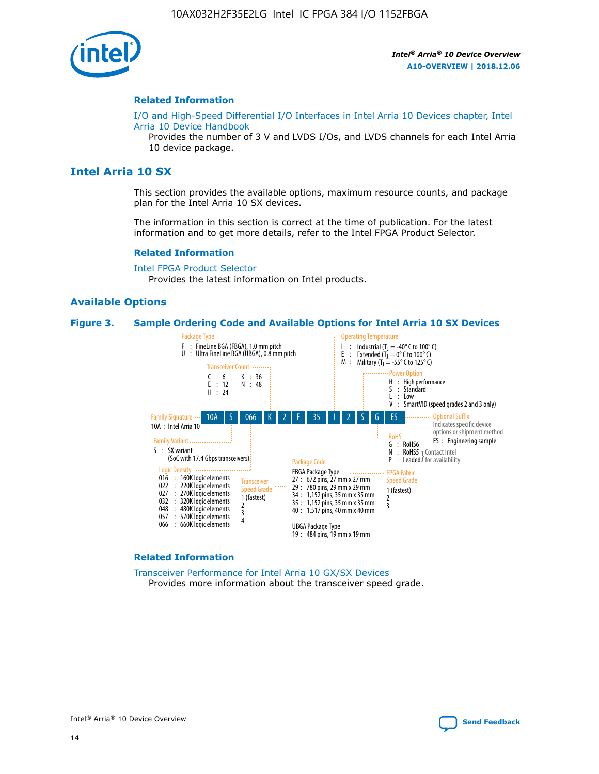

#### **Related Information**

[I/O and High-Speed Differential I/O Interfaces in Intel Arria 10 Devices chapter, Intel](https://www.intel.com/content/www/us/en/programmable/documentation/sam1403482614086.html#sam1403482030321) [Arria 10 Device Handbook](https://www.intel.com/content/www/us/en/programmable/documentation/sam1403482614086.html#sam1403482030321)

Provides the number of 3 V and LVDS I/Os, and LVDS channels for each Intel Arria 10 device package.

## **Intel Arria 10 SX**

This section provides the available options, maximum resource counts, and package plan for the Intel Arria 10 SX devices.

The information in this section is correct at the time of publication. For the latest information and to get more details, refer to the Intel FPGA Product Selector.

#### **Related Information**

[Intel FPGA Product Selector](http://www.altera.com/products/selector/psg-selector.html) Provides the latest information on Intel products.

#### **Available Options**

#### **Figure 3. Sample Ordering Code and Available Options for Intel Arria 10 SX Devices**



#### **Related Information**

[Transceiver Performance for Intel Arria 10 GX/SX Devices](https://www.intel.com/content/www/us/en/programmable/documentation/mcn1413182292568.html#mcn1413213965502) Provides more information about the transceiver speed grade.

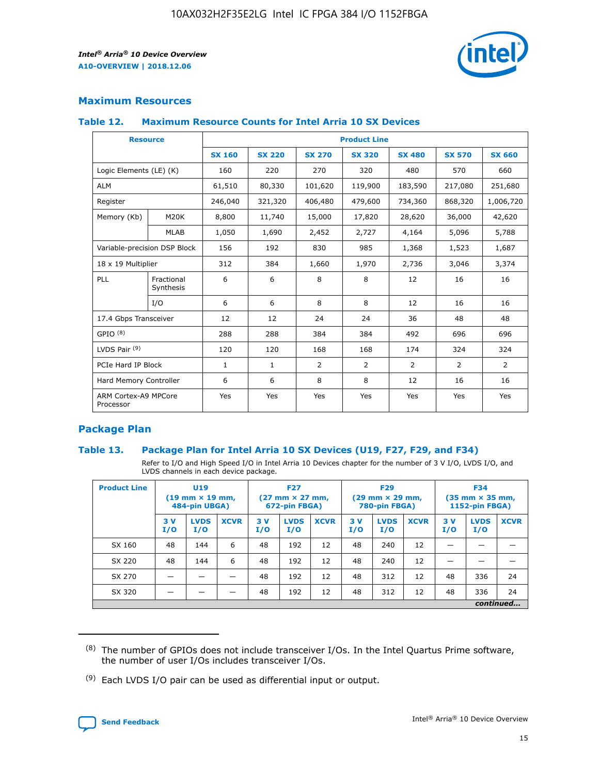

#### **Maximum Resources**

#### **Table 12. Maximum Resource Counts for Intel Arria 10 SX Devices**

| <b>Resource</b>                   |                         | <b>Product Line</b> |               |               |                |               |               |               |  |  |  |
|-----------------------------------|-------------------------|---------------------|---------------|---------------|----------------|---------------|---------------|---------------|--|--|--|
|                                   |                         | <b>SX 160</b>       | <b>SX 220</b> | <b>SX 270</b> | <b>SX 320</b>  | <b>SX 480</b> | <b>SX 570</b> | <b>SX 660</b> |  |  |  |
| Logic Elements (LE) (K)           |                         | 160                 | 220           | 270           | 320            | 480           | 570           | 660           |  |  |  |
| <b>ALM</b>                        |                         | 61,510              | 80,330        | 101,620       | 119,900        | 183,590       | 217,080       | 251,680       |  |  |  |
| Register                          |                         | 246,040             | 321,320       | 406,480       | 479,600        | 734,360       | 868,320       | 1,006,720     |  |  |  |
| Memory (Kb)                       | M20K                    | 8,800               | 11,740        | 15,000        | 17,820         | 28,620        | 36,000        | 42,620        |  |  |  |
|                                   | <b>MLAB</b>             | 1,050               | 1,690         | 2,452         | 2,727          | 4,164         | 5,096         | 5,788         |  |  |  |
| Variable-precision DSP Block      |                         | 156                 | 192           | 830           | 985            | 1,368         | 1,523         | 1,687         |  |  |  |
| 18 x 19 Multiplier                |                         | 312                 | 384           | 1,660         | 1,970          | 2,736         | 3,046         | 3,374         |  |  |  |
| PLL                               | Fractional<br>Synthesis | 6                   | 6             | 8             | 8              | 12            | 16            | 16            |  |  |  |
|                                   | I/O                     | 6                   | 6             | 8             | 8              | 12            | 16            | 16            |  |  |  |
| 17.4 Gbps Transceiver             |                         | 12                  | 12            | 24            | 24             | 36            | 48            | 48            |  |  |  |
| GPIO <sup>(8)</sup>               |                         | 288                 | 288           | 384           | 384            | 492           | 696           | 696           |  |  |  |
| LVDS Pair $(9)$                   |                         | 120                 | 120           | 168           | 168            | 174           | 324           | 324           |  |  |  |
| PCIe Hard IP Block                |                         | $\mathbf{1}$        | $\mathbf{1}$  | 2             | $\overline{2}$ | 2             | 2             | 2             |  |  |  |
| Hard Memory Controller            |                         | 6                   | 6             | 8             | 8              | 12            | 16            | 16            |  |  |  |
| ARM Cortex-A9 MPCore<br>Processor |                         | Yes                 | Yes           | Yes           | Yes            | Yes           | Yes           | Yes           |  |  |  |

#### **Package Plan**

#### **Table 13. Package Plan for Intel Arria 10 SX Devices (U19, F27, F29, and F34)**

Refer to I/O and High Speed I/O in Intel Arria 10 Devices chapter for the number of 3 V I/O, LVDS I/O, and LVDS channels in each device package.

| <b>Product Line</b> | U19<br>$(19 \text{ mm} \times 19 \text{ mm})$<br>484-pin UBGA) |                    | <b>F27</b><br>$(27 \text{ mm} \times 27 \text{ mm})$<br>672-pin FBGA) |           | <b>F29</b><br>$(29 \text{ mm} \times 29 \text{ mm})$<br>780-pin FBGA) |             |            | <b>F34</b><br>$(35 \text{ mm} \times 35 \text{ mm})$<br><b>1152-pin FBGA)</b> |             |           |                    |             |
|---------------------|----------------------------------------------------------------|--------------------|-----------------------------------------------------------------------|-----------|-----------------------------------------------------------------------|-------------|------------|-------------------------------------------------------------------------------|-------------|-----------|--------------------|-------------|
|                     | 3V<br>I/O                                                      | <b>LVDS</b><br>I/O | <b>XCVR</b>                                                           | 3V<br>I/O | <b>LVDS</b><br>I/O                                                    | <b>XCVR</b> | 3 V<br>I/O | <b>LVDS</b><br>I/O                                                            | <b>XCVR</b> | 3V<br>I/O | <b>LVDS</b><br>I/O | <b>XCVR</b> |
| SX 160              | 48                                                             | 144                | 6                                                                     | 48        | 192                                                                   | 12          | 48         | 240                                                                           | 12          | –         |                    |             |
| SX 220              | 48                                                             | 144                | 6                                                                     | 48        | 192                                                                   | 12          | 48         | 240                                                                           | 12          |           |                    |             |
| SX 270              |                                                                |                    |                                                                       | 48        | 192                                                                   | 12          | 48         | 312                                                                           | 12          | 48        | 336                | 24          |
| SX 320              |                                                                |                    |                                                                       | 48        | 192                                                                   | 12          | 48         | 312                                                                           | 12          | 48        | 336                | 24          |
|                     | continued                                                      |                    |                                                                       |           |                                                                       |             |            |                                                                               |             |           |                    |             |

 $(8)$  The number of GPIOs does not include transceiver I/Os. In the Intel Quartus Prime software, the number of user I/Os includes transceiver I/Os.

 $(9)$  Each LVDS I/O pair can be used as differential input or output.

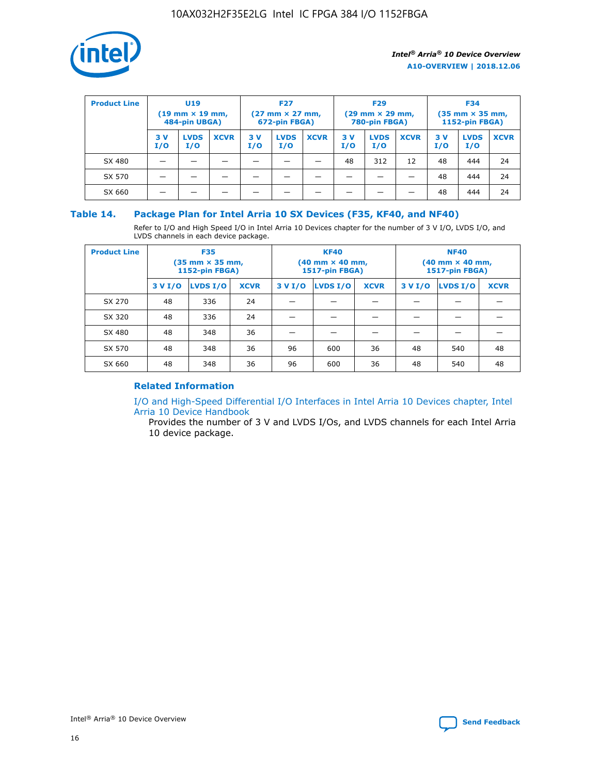

| <b>Product Line</b> | U <sub>19</sub><br>$(19 \text{ mm} \times 19 \text{ mm})$<br>484-pin UBGA) |                    | <b>F27</b><br>$(27 \text{ mm} \times 27 \text{ mm})$<br>672-pin FBGA) |           | <b>F29</b><br>$(29 \text{ mm} \times 29 \text{ mm})$<br>780-pin FBGA) |             |           | <b>F34</b><br>$(35 \text{ mm} \times 35 \text{ mm})$<br><b>1152-pin FBGA)</b> |             |           |                    |             |
|---------------------|----------------------------------------------------------------------------|--------------------|-----------------------------------------------------------------------|-----------|-----------------------------------------------------------------------|-------------|-----------|-------------------------------------------------------------------------------|-------------|-----------|--------------------|-------------|
|                     | 3 V<br>I/O                                                                 | <b>LVDS</b><br>I/O | <b>XCVR</b>                                                           | 3V<br>I/O | <b>LVDS</b><br>I/O                                                    | <b>XCVR</b> | 3V<br>I/O | <b>LVDS</b><br>I/O                                                            | <b>XCVR</b> | 3V<br>I/O | <b>LVDS</b><br>I/O | <b>XCVR</b> |
| SX 480              |                                                                            |                    |                                                                       |           |                                                                       |             | 48        | 312                                                                           | 12          | 48        | 444                | 24          |
| SX 570              |                                                                            |                    |                                                                       |           |                                                                       |             |           |                                                                               |             | 48        | 444                | 24          |
| SX 660              |                                                                            |                    |                                                                       |           |                                                                       |             |           |                                                                               |             | 48        | 444                | 24          |

#### **Table 14. Package Plan for Intel Arria 10 SX Devices (F35, KF40, and NF40)**

Refer to I/O and High Speed I/O in Intel Arria 10 Devices chapter for the number of 3 V I/O, LVDS I/O, and LVDS channels in each device package.

| <b>Product Line</b> | <b>F35</b><br>$(35 \text{ mm} \times 35 \text{ mm})$<br><b>1152-pin FBGA)</b> |          |             |                                           | <b>KF40</b><br>(40 mm × 40 mm,<br>1517-pin FBGA) |    | <b>NF40</b><br>$(40 \text{ mm} \times 40 \text{ mm})$<br>1517-pin FBGA) |          |             |  |
|---------------------|-------------------------------------------------------------------------------|----------|-------------|-------------------------------------------|--------------------------------------------------|----|-------------------------------------------------------------------------|----------|-------------|--|
|                     | 3 V I/O                                                                       | LVDS I/O | <b>XCVR</b> | <b>LVDS I/O</b><br><b>XCVR</b><br>3 V I/O |                                                  |    | 3 V I/O                                                                 | LVDS I/O | <b>XCVR</b> |  |
| SX 270              | 48                                                                            | 336      | 24          |                                           |                                                  |    |                                                                         |          |             |  |
| SX 320              | 48                                                                            | 336      | 24          |                                           |                                                  |    |                                                                         |          |             |  |
| SX 480              | 48                                                                            | 348      | 36          |                                           |                                                  |    |                                                                         |          |             |  |
| SX 570              | 48                                                                            | 348      | 36          | 96                                        | 600                                              | 36 | 48                                                                      | 540      | 48          |  |
| SX 660              | 48                                                                            | 348      | 36          | 96                                        | 600                                              | 36 | 48                                                                      | 540      | 48          |  |

### **Related Information**

[I/O and High-Speed Differential I/O Interfaces in Intel Arria 10 Devices chapter, Intel](https://www.intel.com/content/www/us/en/programmable/documentation/sam1403482614086.html#sam1403482030321) [Arria 10 Device Handbook](https://www.intel.com/content/www/us/en/programmable/documentation/sam1403482614086.html#sam1403482030321)

Provides the number of 3 V and LVDS I/Os, and LVDS channels for each Intel Arria 10 device package.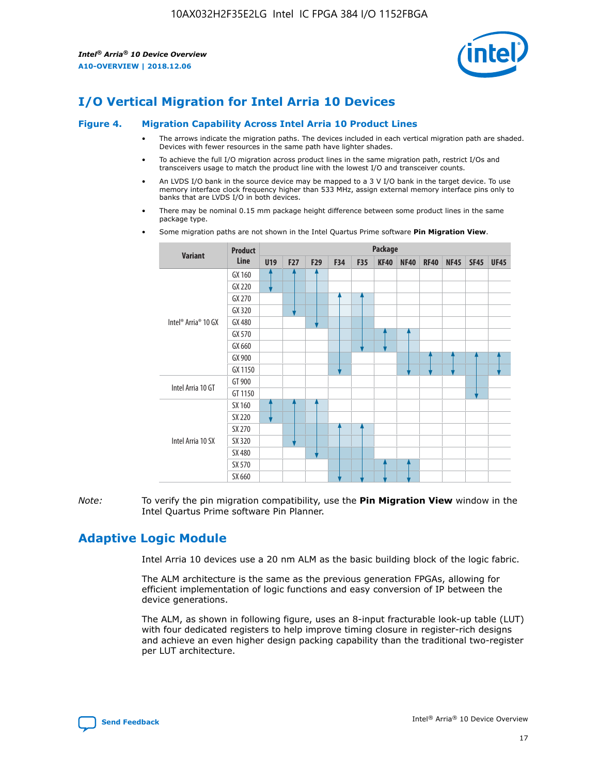

## **I/O Vertical Migration for Intel Arria 10 Devices**

#### **Figure 4. Migration Capability Across Intel Arria 10 Product Lines**

- The arrows indicate the migration paths. The devices included in each vertical migration path are shaded. Devices with fewer resources in the same path have lighter shades.
- To achieve the full I/O migration across product lines in the same migration path, restrict I/Os and transceivers usage to match the product line with the lowest I/O and transceiver counts.
- An LVDS I/O bank in the source device may be mapped to a 3 V I/O bank in the target device. To use memory interface clock frequency higher than 533 MHz, assign external memory interface pins only to banks that are LVDS I/O in both devices.
- There may be nominal 0.15 mm package height difference between some product lines in the same package type.
	- **Variant Product Line Package U19 F27 F29 F34 F35 KF40 NF40 RF40 NF45 SF45 UF45** Intel® Arria® 10 GX GX 160 GX 220 GX 270 GX 320 GX 480 GX 570 GX 660 GX 900 GX 1150 Intel Arria 10 GT GT 900 GT 1150 Intel Arria 10 SX SX 160 SX 220 SX 270 SX 320 SX 480 SX 570 SX 660
- Some migration paths are not shown in the Intel Quartus Prime software **Pin Migration View**.

*Note:* To verify the pin migration compatibility, use the **Pin Migration View** window in the Intel Quartus Prime software Pin Planner.

## **Adaptive Logic Module**

Intel Arria 10 devices use a 20 nm ALM as the basic building block of the logic fabric.

The ALM architecture is the same as the previous generation FPGAs, allowing for efficient implementation of logic functions and easy conversion of IP between the device generations.

The ALM, as shown in following figure, uses an 8-input fracturable look-up table (LUT) with four dedicated registers to help improve timing closure in register-rich designs and achieve an even higher design packing capability than the traditional two-register per LUT architecture.

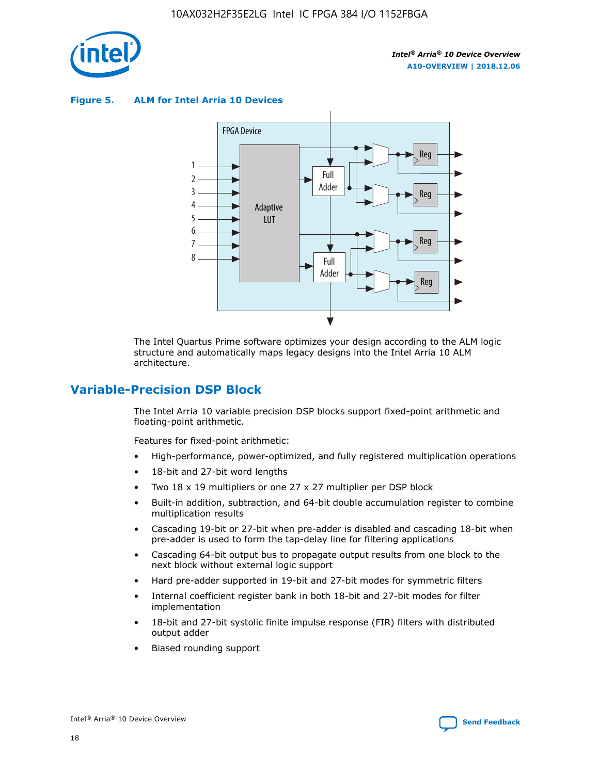

**Figure 5. ALM for Intel Arria 10 Devices**



The Intel Quartus Prime software optimizes your design according to the ALM logic structure and automatically maps legacy designs into the Intel Arria 10 ALM architecture.

## **Variable-Precision DSP Block**

The Intel Arria 10 variable precision DSP blocks support fixed-point arithmetic and floating-point arithmetic.

Features for fixed-point arithmetic:

- High-performance, power-optimized, and fully registered multiplication operations
- 18-bit and 27-bit word lengths
- Two 18 x 19 multipliers or one 27 x 27 multiplier per DSP block
- Built-in addition, subtraction, and 64-bit double accumulation register to combine multiplication results
- Cascading 19-bit or 27-bit when pre-adder is disabled and cascading 18-bit when pre-adder is used to form the tap-delay line for filtering applications
- Cascading 64-bit output bus to propagate output results from one block to the next block without external logic support
- Hard pre-adder supported in 19-bit and 27-bit modes for symmetric filters
- Internal coefficient register bank in both 18-bit and 27-bit modes for filter implementation
- 18-bit and 27-bit systolic finite impulse response (FIR) filters with distributed output adder
- Biased rounding support

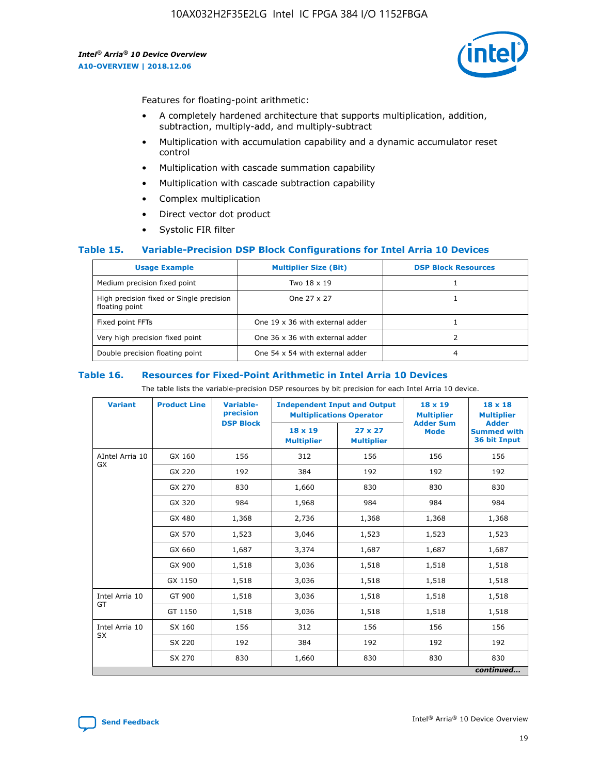

Features for floating-point arithmetic:

- A completely hardened architecture that supports multiplication, addition, subtraction, multiply-add, and multiply-subtract
- Multiplication with accumulation capability and a dynamic accumulator reset control
- Multiplication with cascade summation capability
- Multiplication with cascade subtraction capability
- Complex multiplication
- Direct vector dot product
- Systolic FIR filter

#### **Table 15. Variable-Precision DSP Block Configurations for Intel Arria 10 Devices**

| <b>Usage Example</b>                                       | <b>Multiplier Size (Bit)</b>    | <b>DSP Block Resources</b> |
|------------------------------------------------------------|---------------------------------|----------------------------|
| Medium precision fixed point                               | Two 18 x 19                     |                            |
| High precision fixed or Single precision<br>floating point | One 27 x 27                     |                            |
| Fixed point FFTs                                           | One 19 x 36 with external adder |                            |
| Very high precision fixed point                            | One 36 x 36 with external adder |                            |
| Double precision floating point                            | One 54 x 54 with external adder | 4                          |

#### **Table 16. Resources for Fixed-Point Arithmetic in Intel Arria 10 Devices**

The table lists the variable-precision DSP resources by bit precision for each Intel Arria 10 device.

| <b>Variant</b>  | <b>Product Line</b> | <b>Variable-</b><br>precision<br><b>DSP Block</b> | <b>Independent Input and Output</b><br><b>Multiplications Operator</b> |                                     | 18 x 19<br><b>Multiplier</b><br><b>Adder Sum</b> | $18 \times 18$<br><b>Multiplier</b><br><b>Adder</b> |
|-----------------|---------------------|---------------------------------------------------|------------------------------------------------------------------------|-------------------------------------|--------------------------------------------------|-----------------------------------------------------|
|                 |                     |                                                   | 18 x 19<br><b>Multiplier</b>                                           | $27 \times 27$<br><b>Multiplier</b> | <b>Mode</b>                                      | <b>Summed with</b><br>36 bit Input                  |
| AIntel Arria 10 | GX 160              | 156                                               | 312                                                                    | 156                                 | 156                                              | 156                                                 |
| GX              | GX 220              | 192                                               | 384                                                                    | 192                                 | 192                                              | 192                                                 |
|                 | GX 270              | 830                                               | 1,660                                                                  | 830                                 | 830                                              | 830                                                 |
|                 | GX 320              | 984                                               | 1,968                                                                  | 984                                 | 984                                              | 984                                                 |
|                 | GX 480              | 1,368                                             | 2,736                                                                  | 1,368                               | 1,368                                            | 1,368                                               |
|                 | GX 570              | 1,523                                             | 3,046                                                                  | 1,523                               | 1,523                                            | 1,523                                               |
|                 | GX 660              | 1,687                                             | 3,374                                                                  | 1,687                               | 1,687                                            | 1,687                                               |
|                 | GX 900              | 1,518                                             | 3,036                                                                  | 1,518                               | 1,518                                            | 1,518                                               |
|                 | GX 1150             | 1,518                                             | 3,036                                                                  | 1,518                               | 1,518                                            | 1,518                                               |
| Intel Arria 10  | GT 900              | 1,518                                             | 3,036                                                                  | 1,518                               | 1,518                                            | 1,518                                               |
| GT              | GT 1150             | 1,518                                             | 3,036                                                                  | 1,518                               | 1,518                                            | 1,518                                               |
| Intel Arria 10  | SX 160              | 156                                               | 312                                                                    | 156                                 | 156                                              | 156                                                 |
| <b>SX</b>       | SX 220              | 192                                               | 384                                                                    | 192                                 | 192                                              | 192                                                 |
|                 | SX 270              | 830                                               | 1,660                                                                  | 830                                 | 830                                              | 830                                                 |
|                 |                     |                                                   |                                                                        |                                     |                                                  | continued                                           |

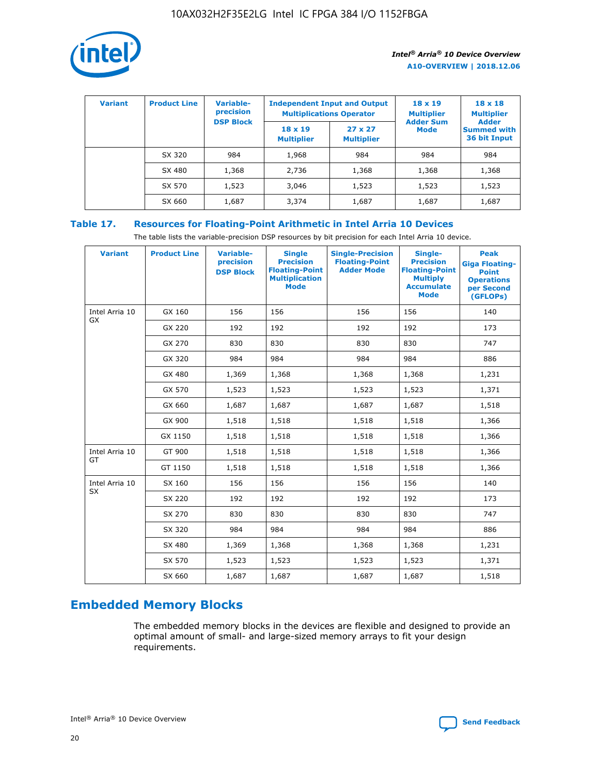

| <b>Variant</b> | <b>Product Line</b> | <b>Variable-</b><br>precision |                                     | <b>Independent Input and Output</b><br><b>Multiplications Operator</b> | $18 \times 19$<br><b>Multiplier</b> | $18 \times 18$<br><b>Multiplier</b>                |
|----------------|---------------------|-------------------------------|-------------------------------------|------------------------------------------------------------------------|-------------------------------------|----------------------------------------------------|
|                |                     | <b>DSP Block</b>              | $18 \times 19$<br><b>Multiplier</b> | $27 \times 27$<br><b>Multiplier</b>                                    | <b>Adder Sum</b><br>Mode            | <b>Adder</b><br><b>Summed with</b><br>36 bit Input |
|                | SX 320              | 984                           | 1,968                               | 984                                                                    | 984                                 | 984                                                |
|                | SX 480              | 1,368                         | 2,736                               | 1,368                                                                  | 1,368                               | 1,368                                              |
|                | SX 570              | 1,523                         | 3,046                               | 1,523                                                                  | 1,523                               | 1,523                                              |
|                | SX 660              | 1,687                         | 3,374                               | 1,687                                                                  | 1,687                               | 1,687                                              |

## **Table 17. Resources for Floating-Point Arithmetic in Intel Arria 10 Devices**

The table lists the variable-precision DSP resources by bit precision for each Intel Arria 10 device.

| <b>Variant</b>              | <b>Product Line</b> | <b>Variable-</b><br>precision<br><b>DSP Block</b> | <b>Single</b><br><b>Precision</b><br><b>Floating-Point</b><br><b>Multiplication</b><br><b>Mode</b> | <b>Single-Precision</b><br><b>Floating-Point</b><br><b>Adder Mode</b> | Single-<br><b>Precision</b><br><b>Floating-Point</b><br><b>Multiply</b><br><b>Accumulate</b><br><b>Mode</b> | <b>Peak</b><br><b>Giga Floating-</b><br><b>Point</b><br><b>Operations</b><br>per Second<br>(GFLOPs) |
|-----------------------------|---------------------|---------------------------------------------------|----------------------------------------------------------------------------------------------------|-----------------------------------------------------------------------|-------------------------------------------------------------------------------------------------------------|-----------------------------------------------------------------------------------------------------|
| Intel Arria 10<br><b>GX</b> | GX 160              | 156                                               | 156                                                                                                | 156                                                                   | 156                                                                                                         | 140                                                                                                 |
|                             | GX 220              | 192                                               | 192                                                                                                | 192                                                                   | 192                                                                                                         | 173                                                                                                 |
|                             | GX 270              | 830                                               | 830                                                                                                | 830                                                                   | 830                                                                                                         | 747                                                                                                 |
|                             | GX 320              | 984                                               | 984                                                                                                | 984                                                                   | 984                                                                                                         | 886                                                                                                 |
|                             | GX 480              | 1,369                                             | 1,368                                                                                              | 1,368                                                                 | 1,368                                                                                                       | 1,231                                                                                               |
|                             | GX 570              | 1,523                                             | 1,523                                                                                              | 1,523                                                                 | 1,523                                                                                                       | 1,371                                                                                               |
|                             | GX 660              | 1,687                                             | 1,687                                                                                              | 1,687                                                                 | 1,687                                                                                                       | 1,518                                                                                               |
|                             | GX 900              | 1,518                                             | 1,518                                                                                              | 1,518                                                                 | 1,518                                                                                                       | 1,366                                                                                               |
|                             | GX 1150             | 1,518                                             | 1,518                                                                                              | 1,518                                                                 | 1,518                                                                                                       | 1,366                                                                                               |
| Intel Arria 10              | GT 900              | 1,518                                             | 1,518                                                                                              | 1,518                                                                 | 1,518                                                                                                       | 1,366                                                                                               |
| GT                          | GT 1150             | 1,518                                             | 1,518                                                                                              | 1,518                                                                 | 1,518                                                                                                       | 1,366                                                                                               |
| Intel Arria 10              | SX 160              | 156                                               | 156                                                                                                | 156                                                                   | 156                                                                                                         | 140                                                                                                 |
| <b>SX</b>                   | SX 220              | 192                                               | 192                                                                                                | 192                                                                   | 192                                                                                                         | 173                                                                                                 |
|                             | SX 270              | 830                                               | 830                                                                                                | 830                                                                   | 830                                                                                                         | 747                                                                                                 |
|                             | SX 320              | 984                                               | 984                                                                                                | 984                                                                   | 984                                                                                                         | 886                                                                                                 |
|                             | SX 480              | 1,369                                             | 1,368                                                                                              | 1,368                                                                 | 1,368                                                                                                       | 1,231                                                                                               |
|                             | SX 570              | 1,523                                             | 1,523                                                                                              | 1,523                                                                 | 1,523                                                                                                       | 1,371                                                                                               |
|                             | SX 660              | 1,687                                             | 1,687                                                                                              | 1,687                                                                 | 1,687                                                                                                       | 1,518                                                                                               |

## **Embedded Memory Blocks**

The embedded memory blocks in the devices are flexible and designed to provide an optimal amount of small- and large-sized memory arrays to fit your design requirements.

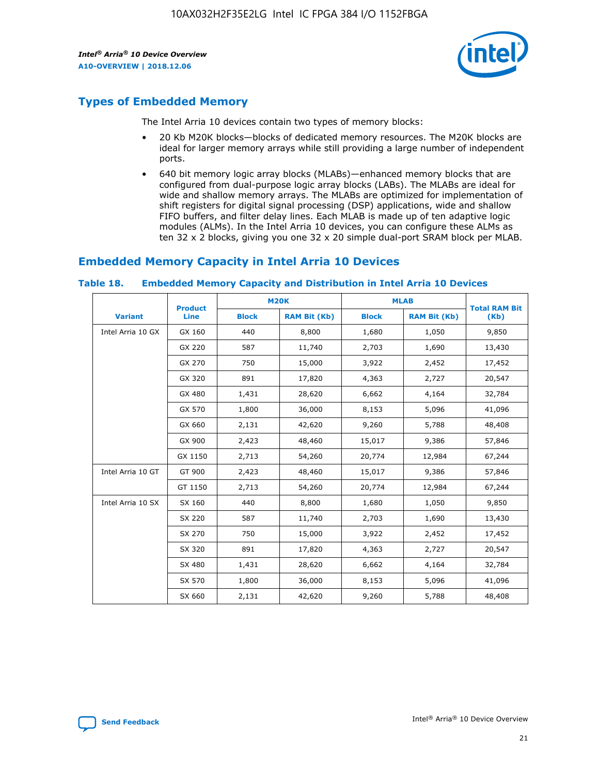

## **Types of Embedded Memory**

The Intel Arria 10 devices contain two types of memory blocks:

- 20 Kb M20K blocks—blocks of dedicated memory resources. The M20K blocks are ideal for larger memory arrays while still providing a large number of independent ports.
- 640 bit memory logic array blocks (MLABs)—enhanced memory blocks that are configured from dual-purpose logic array blocks (LABs). The MLABs are ideal for wide and shallow memory arrays. The MLABs are optimized for implementation of shift registers for digital signal processing (DSP) applications, wide and shallow FIFO buffers, and filter delay lines. Each MLAB is made up of ten adaptive logic modules (ALMs). In the Intel Arria 10 devices, you can configure these ALMs as ten 32 x 2 blocks, giving you one 32 x 20 simple dual-port SRAM block per MLAB.

## **Embedded Memory Capacity in Intel Arria 10 Devices**

|                   | <b>Product</b> |              | <b>M20K</b>         | <b>MLAB</b>  |                     | <b>Total RAM Bit</b> |
|-------------------|----------------|--------------|---------------------|--------------|---------------------|----------------------|
| <b>Variant</b>    | Line           | <b>Block</b> | <b>RAM Bit (Kb)</b> | <b>Block</b> | <b>RAM Bit (Kb)</b> | (Kb)                 |
| Intel Arria 10 GX | GX 160         | 440          | 8,800               | 1,680        | 1,050               | 9,850                |
|                   | GX 220         | 587          | 11,740              | 2,703        | 1,690               | 13,430               |
|                   | GX 270         | 750          | 15,000              | 3,922        | 2,452               | 17,452               |
|                   | GX 320         | 891          | 17,820              | 4,363        | 2,727               | 20,547               |
|                   | GX 480         | 1,431        | 28,620              | 6,662        | 4,164               | 32,784               |
|                   | GX 570         | 1,800        | 36,000              | 8,153        | 5,096               | 41,096               |
|                   | GX 660         | 2,131        | 42,620              | 9,260        | 5,788               | 48,408               |
|                   | GX 900         | 2,423        | 48,460              | 15,017       | 9,386               | 57,846               |
|                   | GX 1150        | 2,713        | 54,260              | 20,774       | 12,984              | 67,244               |
| Intel Arria 10 GT | GT 900         | 2,423        | 48,460              | 15,017       | 9,386               | 57,846               |
|                   | GT 1150        | 2,713        | 54,260              | 20,774       | 12,984              | 67,244               |
| Intel Arria 10 SX | SX 160         | 440          | 8,800               | 1,680        | 1,050               | 9,850                |
|                   | SX 220         | 587          | 11,740              | 2,703        | 1,690               | 13,430               |
|                   | SX 270         | 750          | 15,000              | 3,922        | 2,452               | 17,452               |
|                   | SX 320         | 891          | 17,820              | 4,363        | 2,727               | 20,547               |
|                   | SX 480         | 1,431        | 28,620              | 6,662        | 4,164               | 32,784               |
|                   | SX 570         | 1,800        | 36,000              | 8,153        | 5,096               | 41,096               |
|                   | SX 660         | 2,131        | 42,620              | 9,260        | 5,788               | 48,408               |

#### **Table 18. Embedded Memory Capacity and Distribution in Intel Arria 10 Devices**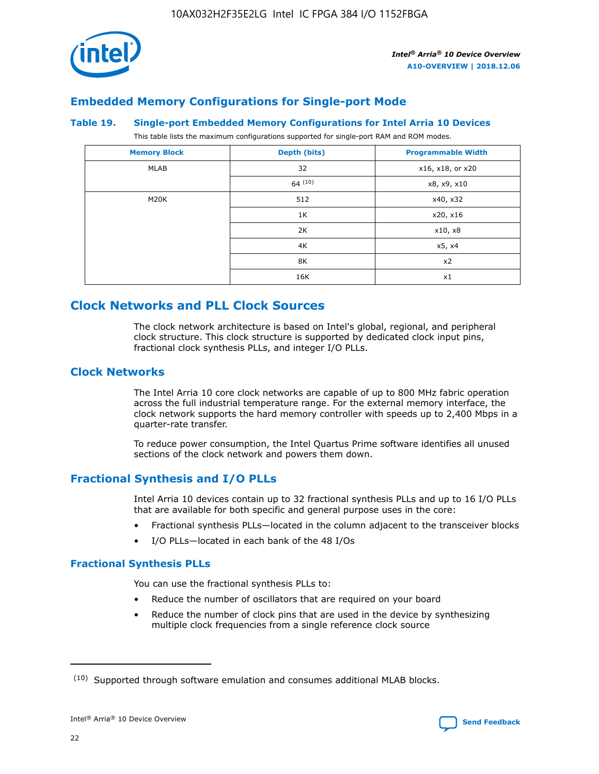

## **Embedded Memory Configurations for Single-port Mode**

#### **Table 19. Single-port Embedded Memory Configurations for Intel Arria 10 Devices**

This table lists the maximum configurations supported for single-port RAM and ROM modes.

| <b>Memory Block</b> | Depth (bits) | <b>Programmable Width</b> |
|---------------------|--------------|---------------------------|
| MLAB                | 32           | x16, x18, or x20          |
|                     | 64(10)       | x8, x9, x10               |
| M20K                | 512          | x40, x32                  |
|                     | 1K           | x20, x16                  |
|                     | 2K           | x10, x8                   |
|                     | 4K           | x5, x4                    |
|                     | 8K           | x2                        |
|                     | 16K          | x1                        |

## **Clock Networks and PLL Clock Sources**

The clock network architecture is based on Intel's global, regional, and peripheral clock structure. This clock structure is supported by dedicated clock input pins, fractional clock synthesis PLLs, and integer I/O PLLs.

#### **Clock Networks**

The Intel Arria 10 core clock networks are capable of up to 800 MHz fabric operation across the full industrial temperature range. For the external memory interface, the clock network supports the hard memory controller with speeds up to 2,400 Mbps in a quarter-rate transfer.

To reduce power consumption, the Intel Quartus Prime software identifies all unused sections of the clock network and powers them down.

## **Fractional Synthesis and I/O PLLs**

Intel Arria 10 devices contain up to 32 fractional synthesis PLLs and up to 16 I/O PLLs that are available for both specific and general purpose uses in the core:

- Fractional synthesis PLLs—located in the column adjacent to the transceiver blocks
- I/O PLLs—located in each bank of the 48 I/Os

#### **Fractional Synthesis PLLs**

You can use the fractional synthesis PLLs to:

- Reduce the number of oscillators that are required on your board
- Reduce the number of clock pins that are used in the device by synthesizing multiple clock frequencies from a single reference clock source

<sup>(10)</sup> Supported through software emulation and consumes additional MLAB blocks.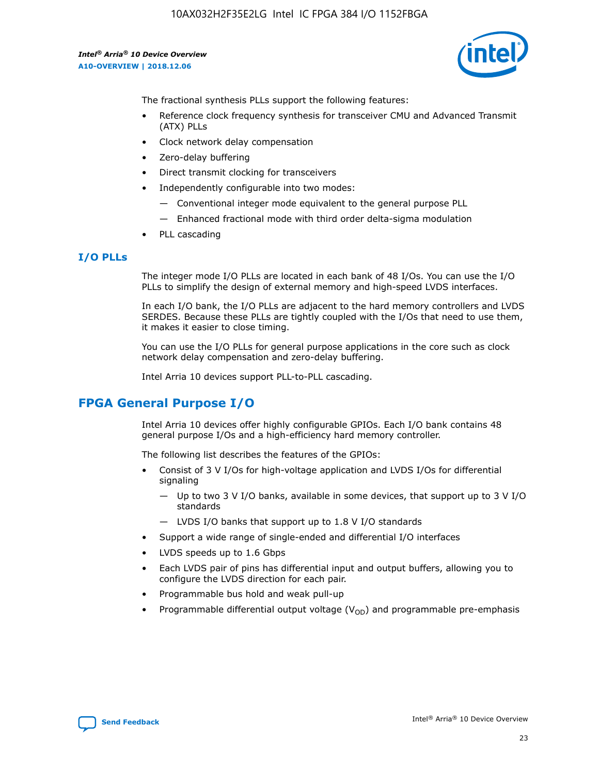

The fractional synthesis PLLs support the following features:

- Reference clock frequency synthesis for transceiver CMU and Advanced Transmit (ATX) PLLs
- Clock network delay compensation
- Zero-delay buffering
- Direct transmit clocking for transceivers
- Independently configurable into two modes:
	- Conventional integer mode equivalent to the general purpose PLL
	- Enhanced fractional mode with third order delta-sigma modulation
- PLL cascading

#### **I/O PLLs**

The integer mode I/O PLLs are located in each bank of 48 I/Os. You can use the I/O PLLs to simplify the design of external memory and high-speed LVDS interfaces.

In each I/O bank, the I/O PLLs are adjacent to the hard memory controllers and LVDS SERDES. Because these PLLs are tightly coupled with the I/Os that need to use them, it makes it easier to close timing.

You can use the I/O PLLs for general purpose applications in the core such as clock network delay compensation and zero-delay buffering.

Intel Arria 10 devices support PLL-to-PLL cascading.

## **FPGA General Purpose I/O**

Intel Arria 10 devices offer highly configurable GPIOs. Each I/O bank contains 48 general purpose I/Os and a high-efficiency hard memory controller.

The following list describes the features of the GPIOs:

- Consist of 3 V I/Os for high-voltage application and LVDS I/Os for differential signaling
	- Up to two 3 V I/O banks, available in some devices, that support up to 3 V I/O standards
	- LVDS I/O banks that support up to 1.8 V I/O standards
- Support a wide range of single-ended and differential I/O interfaces
- LVDS speeds up to 1.6 Gbps
- Each LVDS pair of pins has differential input and output buffers, allowing you to configure the LVDS direction for each pair.
- Programmable bus hold and weak pull-up
- Programmable differential output voltage  $(V_{OD})$  and programmable pre-emphasis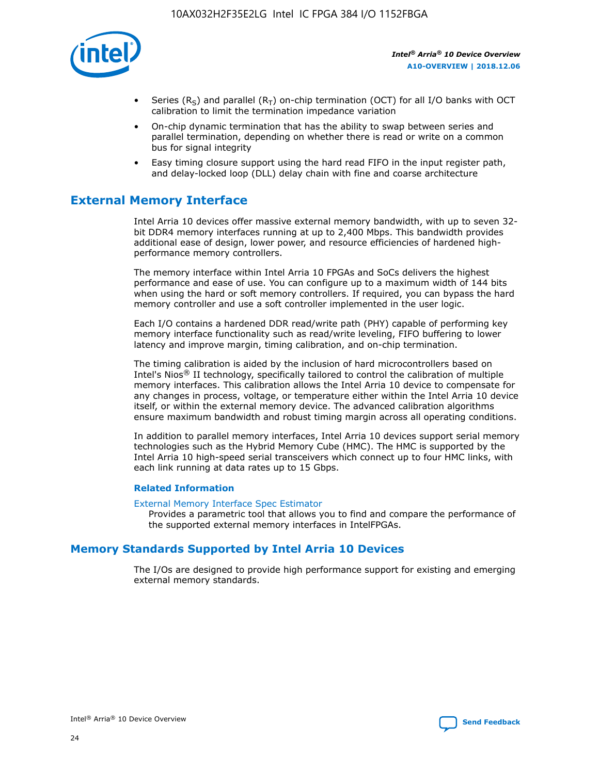

- Series (R<sub>S</sub>) and parallel (R<sub>T</sub>) on-chip termination (OCT) for all I/O banks with OCT calibration to limit the termination impedance variation
- On-chip dynamic termination that has the ability to swap between series and parallel termination, depending on whether there is read or write on a common bus for signal integrity
- Easy timing closure support using the hard read FIFO in the input register path, and delay-locked loop (DLL) delay chain with fine and coarse architecture

## **External Memory Interface**

Intel Arria 10 devices offer massive external memory bandwidth, with up to seven 32 bit DDR4 memory interfaces running at up to 2,400 Mbps. This bandwidth provides additional ease of design, lower power, and resource efficiencies of hardened highperformance memory controllers.

The memory interface within Intel Arria 10 FPGAs and SoCs delivers the highest performance and ease of use. You can configure up to a maximum width of 144 bits when using the hard or soft memory controllers. If required, you can bypass the hard memory controller and use a soft controller implemented in the user logic.

Each I/O contains a hardened DDR read/write path (PHY) capable of performing key memory interface functionality such as read/write leveling, FIFO buffering to lower latency and improve margin, timing calibration, and on-chip termination.

The timing calibration is aided by the inclusion of hard microcontrollers based on Intel's Nios® II technology, specifically tailored to control the calibration of multiple memory interfaces. This calibration allows the Intel Arria 10 device to compensate for any changes in process, voltage, or temperature either within the Intel Arria 10 device itself, or within the external memory device. The advanced calibration algorithms ensure maximum bandwidth and robust timing margin across all operating conditions.

In addition to parallel memory interfaces, Intel Arria 10 devices support serial memory technologies such as the Hybrid Memory Cube (HMC). The HMC is supported by the Intel Arria 10 high-speed serial transceivers which connect up to four HMC links, with each link running at data rates up to 15 Gbps.

#### **Related Information**

#### [External Memory Interface Spec Estimator](http://www.altera.com/technology/memory/estimator/mem-emif-index.html)

Provides a parametric tool that allows you to find and compare the performance of the supported external memory interfaces in IntelFPGAs.

## **Memory Standards Supported by Intel Arria 10 Devices**

The I/Os are designed to provide high performance support for existing and emerging external memory standards.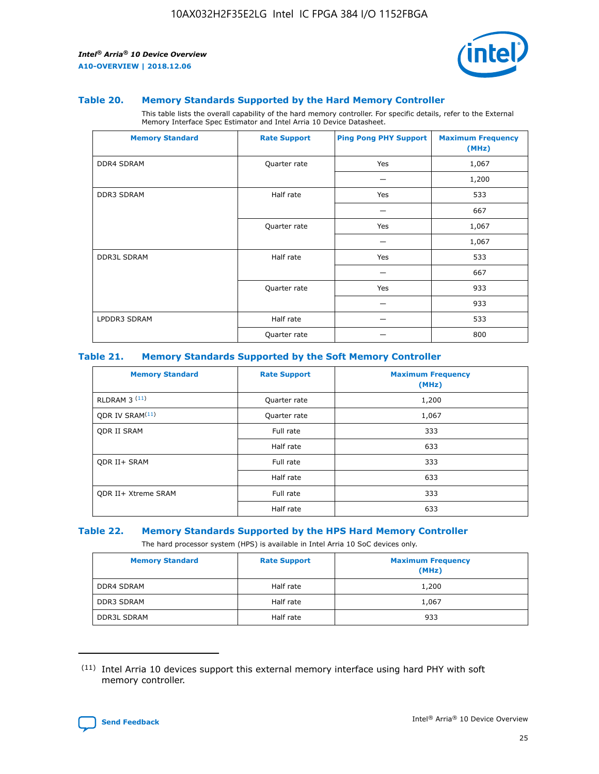

#### **Table 20. Memory Standards Supported by the Hard Memory Controller**

This table lists the overall capability of the hard memory controller. For specific details, refer to the External Memory Interface Spec Estimator and Intel Arria 10 Device Datasheet.

| <b>Memory Standard</b> | <b>Rate Support</b> | <b>Ping Pong PHY Support</b> | <b>Maximum Frequency</b><br>(MHz) |
|------------------------|---------------------|------------------------------|-----------------------------------|
| <b>DDR4 SDRAM</b>      | Quarter rate        | Yes                          | 1,067                             |
|                        |                     |                              | 1,200                             |
| DDR3 SDRAM             | Half rate           | Yes                          | 533                               |
|                        |                     |                              | 667                               |
|                        | Quarter rate        | Yes                          | 1,067                             |
|                        |                     |                              | 1,067                             |
| <b>DDR3L SDRAM</b>     | Half rate           | Yes                          | 533                               |
|                        |                     |                              | 667                               |
|                        | Quarter rate        | Yes                          | 933                               |
|                        |                     |                              | 933                               |
| LPDDR3 SDRAM           | Half rate           |                              | 533                               |
|                        | Quarter rate        |                              | 800                               |

#### **Table 21. Memory Standards Supported by the Soft Memory Controller**

| <b>Memory Standard</b>      | <b>Rate Support</b> | <b>Maximum Frequency</b><br>(MHz) |
|-----------------------------|---------------------|-----------------------------------|
| <b>RLDRAM 3 (11)</b>        | Quarter rate        | 1,200                             |
| ODR IV SRAM <sup>(11)</sup> | Quarter rate        | 1,067                             |
| <b>ODR II SRAM</b>          | Full rate           | 333                               |
|                             | Half rate           | 633                               |
| <b>ODR II+ SRAM</b>         | Full rate           | 333                               |
|                             | Half rate           | 633                               |
| <b>ODR II+ Xtreme SRAM</b>  | Full rate           | 333                               |
|                             | Half rate           | 633                               |

#### **Table 22. Memory Standards Supported by the HPS Hard Memory Controller**

The hard processor system (HPS) is available in Intel Arria 10 SoC devices only.

| <b>Memory Standard</b> | <b>Rate Support</b> | <b>Maximum Frequency</b><br>(MHz) |
|------------------------|---------------------|-----------------------------------|
| <b>DDR4 SDRAM</b>      | Half rate           | 1,200                             |
| DDR3 SDRAM             | Half rate           | 1,067                             |
| <b>DDR3L SDRAM</b>     | Half rate           | 933                               |

<sup>(11)</sup> Intel Arria 10 devices support this external memory interface using hard PHY with soft memory controller.

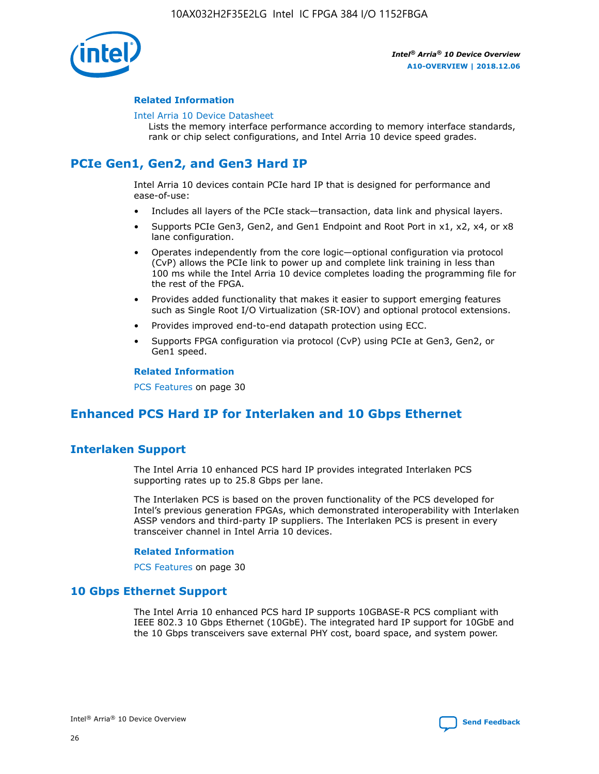

#### **Related Information**

#### [Intel Arria 10 Device Datasheet](https://www.intel.com/content/www/us/en/programmable/documentation/mcn1413182292568.html#mcn1413182153340)

Lists the memory interface performance according to memory interface standards, rank or chip select configurations, and Intel Arria 10 device speed grades.

## **PCIe Gen1, Gen2, and Gen3 Hard IP**

Intel Arria 10 devices contain PCIe hard IP that is designed for performance and ease-of-use:

- Includes all layers of the PCIe stack—transaction, data link and physical layers.
- Supports PCIe Gen3, Gen2, and Gen1 Endpoint and Root Port in x1, x2, x4, or x8 lane configuration.
- Operates independently from the core logic—optional configuration via protocol (CvP) allows the PCIe link to power up and complete link training in less than 100 ms while the Intel Arria 10 device completes loading the programming file for the rest of the FPGA.
- Provides added functionality that makes it easier to support emerging features such as Single Root I/O Virtualization (SR-IOV) and optional protocol extensions.
- Provides improved end-to-end datapath protection using ECC.
- Supports FPGA configuration via protocol (CvP) using PCIe at Gen3, Gen2, or Gen1 speed.

#### **Related Information**

PCS Features on page 30

## **Enhanced PCS Hard IP for Interlaken and 10 Gbps Ethernet**

## **Interlaken Support**

The Intel Arria 10 enhanced PCS hard IP provides integrated Interlaken PCS supporting rates up to 25.8 Gbps per lane.

The Interlaken PCS is based on the proven functionality of the PCS developed for Intel's previous generation FPGAs, which demonstrated interoperability with Interlaken ASSP vendors and third-party IP suppliers. The Interlaken PCS is present in every transceiver channel in Intel Arria 10 devices.

#### **Related Information**

PCS Features on page 30

#### **10 Gbps Ethernet Support**

The Intel Arria 10 enhanced PCS hard IP supports 10GBASE-R PCS compliant with IEEE 802.3 10 Gbps Ethernet (10GbE). The integrated hard IP support for 10GbE and the 10 Gbps transceivers save external PHY cost, board space, and system power.

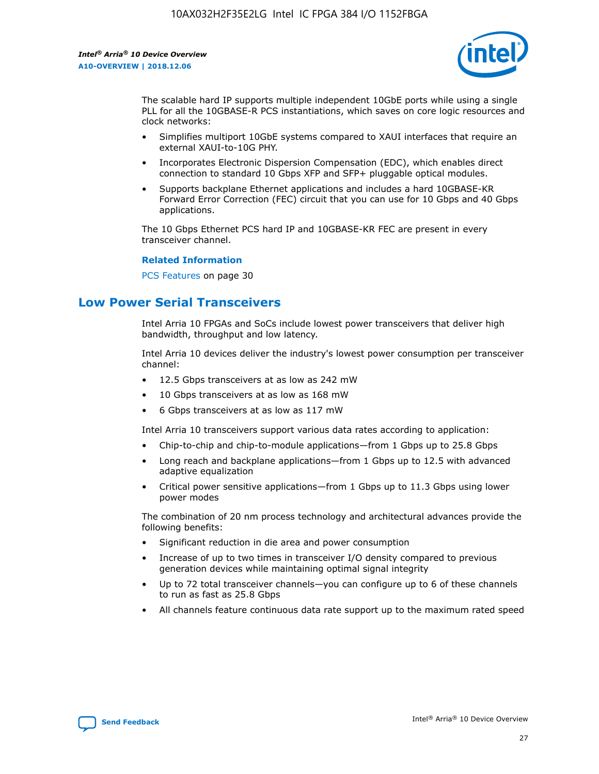

The scalable hard IP supports multiple independent 10GbE ports while using a single PLL for all the 10GBASE-R PCS instantiations, which saves on core logic resources and clock networks:

- Simplifies multiport 10GbE systems compared to XAUI interfaces that require an external XAUI-to-10G PHY.
- Incorporates Electronic Dispersion Compensation (EDC), which enables direct connection to standard 10 Gbps XFP and SFP+ pluggable optical modules.
- Supports backplane Ethernet applications and includes a hard 10GBASE-KR Forward Error Correction (FEC) circuit that you can use for 10 Gbps and 40 Gbps applications.

The 10 Gbps Ethernet PCS hard IP and 10GBASE-KR FEC are present in every transceiver channel.

#### **Related Information**

PCS Features on page 30

## **Low Power Serial Transceivers**

Intel Arria 10 FPGAs and SoCs include lowest power transceivers that deliver high bandwidth, throughput and low latency.

Intel Arria 10 devices deliver the industry's lowest power consumption per transceiver channel:

- 12.5 Gbps transceivers at as low as 242 mW
- 10 Gbps transceivers at as low as 168 mW
- 6 Gbps transceivers at as low as 117 mW

Intel Arria 10 transceivers support various data rates according to application:

- Chip-to-chip and chip-to-module applications—from 1 Gbps up to 25.8 Gbps
- Long reach and backplane applications—from 1 Gbps up to 12.5 with advanced adaptive equalization
- Critical power sensitive applications—from 1 Gbps up to 11.3 Gbps using lower power modes

The combination of 20 nm process technology and architectural advances provide the following benefits:

- Significant reduction in die area and power consumption
- Increase of up to two times in transceiver I/O density compared to previous generation devices while maintaining optimal signal integrity
- Up to 72 total transceiver channels—you can configure up to 6 of these channels to run as fast as 25.8 Gbps
- All channels feature continuous data rate support up to the maximum rated speed

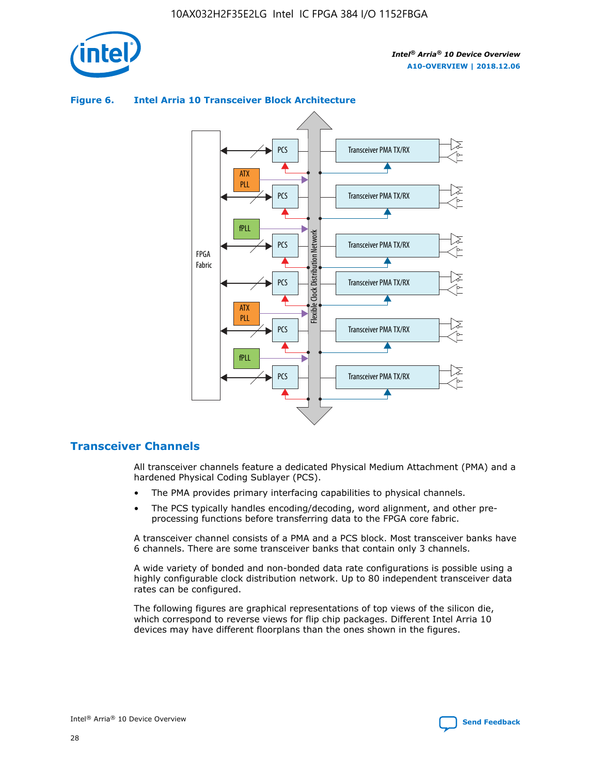

#### Transceiver PMA TX/RX PCS ATX PLL Transceiver PMA TX/RX PCS fPLL Network Flexible Clock Distribution Network PCS Transceiver PMA TX/RX FPGA **Clock Distribution** Fabric PCS Transceiver PMA TX/RX ATX Flexible PLL PCS Transceiver PMA TX/RX ▲ fPLL

#### **Figure 6. Intel Arria 10 Transceiver Block Architecture**

#### **Transceiver Channels**

All transceiver channels feature a dedicated Physical Medium Attachment (PMA) and a hardened Physical Coding Sublayer (PCS).

Transceiver PMA TX/RX

4

• The PMA provides primary interfacing capabilities to physical channels.

PCS

• The PCS typically handles encoding/decoding, word alignment, and other preprocessing functions before transferring data to the FPGA core fabric.

A transceiver channel consists of a PMA and a PCS block. Most transceiver banks have 6 channels. There are some transceiver banks that contain only 3 channels.

A wide variety of bonded and non-bonded data rate configurations is possible using a highly configurable clock distribution network. Up to 80 independent transceiver data rates can be configured.

The following figures are graphical representations of top views of the silicon die, which correspond to reverse views for flip chip packages. Different Intel Arria 10 devices may have different floorplans than the ones shown in the figures.

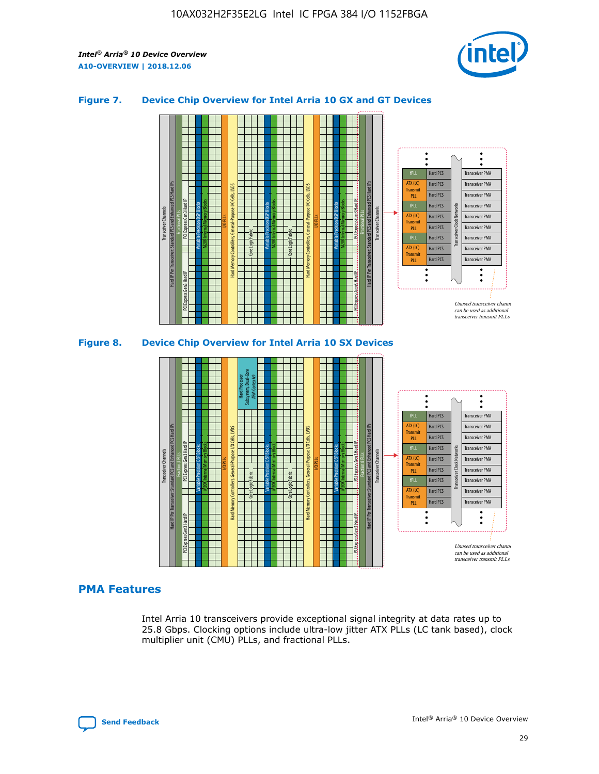

#### **Figure 7. Device Chip Overview for Intel Arria 10 GX and GT Devices**



M20K Internal Memory Blocks Core Logic Fabric Transceiver Channels Hard IP Per Transceiver: Standard PCS and Enhanced PCS Hard IPs PCI Express Gen3 Hard IP Fractional PLLs M20K Internal Memory Blocks PCI Express Gen3 Hard IP Variable Precision DSP Blocks I/O PLLs Hard Memory Controllers, General-Purpose I/O Cells, LVDS Hard Processor Subsystem, Dual-Core ARM Cortex A9 M20K Internal Memory Blocks Variable Precision DSP Blocks M20K Internal Memory Blocks Core Logic Fabric I/O PLLs Hard Memory Controllers, General-Purpose I/O Cells, LVDS M20K Internal Memory Blocks Variable Precision DSP Blocks M20K Internal Memory Blocks Transceiver Channels Hard IP Per Transceiver: Standard PCS and Enhanced PCS Hard IPs PCI Express Gen3 Hard IP Fractional PLLs PCI Express Gen3 Hard IP Hard PCS Hard PCS Hard PCS Hard PCS Hard PCS Hard PCS Transceiver PMA Transceiver PMA Transceiver PMA Transceiver PMA Transceiver PMA Transceiver PMA Transceiver Clock Networks fPLL ATX (LC) **Transmit** PLL fPLL ATX (LC) Transmi PLL

#### **PMA Features**

Intel Arria 10 transceivers provide exceptional signal integrity at data rates up to 25.8 Gbps. Clocking options include ultra-low jitter ATX PLLs (LC tank based), clock multiplier unit (CMU) PLLs, and fractional PLLs.

Hard PCS Hard PCS Hard PCS

fPLL ATX (LC) **Transmit** PLL

Transceiver PMA

Transceiver PMA Transceiver PMA

Unused transceiver chann can be used as additional transceiver transmit PLLs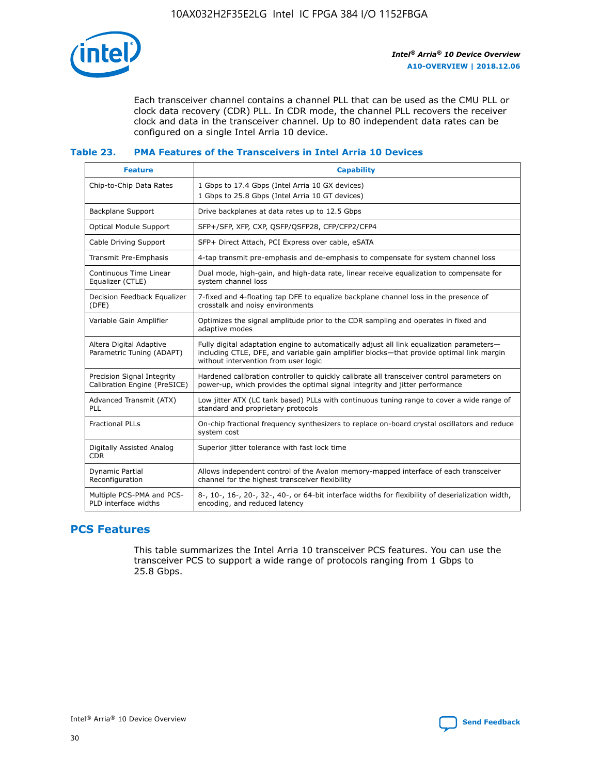

Each transceiver channel contains a channel PLL that can be used as the CMU PLL or clock data recovery (CDR) PLL. In CDR mode, the channel PLL recovers the receiver clock and data in the transceiver channel. Up to 80 independent data rates can be configured on a single Intel Arria 10 device.

#### **Table 23. PMA Features of the Transceivers in Intel Arria 10 Devices**

| <b>Feature</b>                                             | <b>Capability</b>                                                                                                                                                                                                             |
|------------------------------------------------------------|-------------------------------------------------------------------------------------------------------------------------------------------------------------------------------------------------------------------------------|
| Chip-to-Chip Data Rates                                    | 1 Gbps to 17.4 Gbps (Intel Arria 10 GX devices)<br>1 Gbps to 25.8 Gbps (Intel Arria 10 GT devices)                                                                                                                            |
| Backplane Support                                          | Drive backplanes at data rates up to 12.5 Gbps                                                                                                                                                                                |
| <b>Optical Module Support</b>                              | SFP+/SFP, XFP, CXP, QSFP/QSFP28, CFP/CFP2/CFP4                                                                                                                                                                                |
| Cable Driving Support                                      | SFP+ Direct Attach, PCI Express over cable, eSATA                                                                                                                                                                             |
| Transmit Pre-Emphasis                                      | 4-tap transmit pre-emphasis and de-emphasis to compensate for system channel loss                                                                                                                                             |
| Continuous Time Linear<br>Equalizer (CTLE)                 | Dual mode, high-gain, and high-data rate, linear receive equalization to compensate for<br>system channel loss                                                                                                                |
| Decision Feedback Equalizer<br>(DFE)                       | 7-fixed and 4-floating tap DFE to equalize backplane channel loss in the presence of<br>crosstalk and noisy environments                                                                                                      |
| Variable Gain Amplifier                                    | Optimizes the signal amplitude prior to the CDR sampling and operates in fixed and<br>adaptive modes                                                                                                                          |
| Altera Digital Adaptive<br>Parametric Tuning (ADAPT)       | Fully digital adaptation engine to automatically adjust all link equalization parameters-<br>including CTLE, DFE, and variable gain amplifier blocks—that provide optimal link margin<br>without intervention from user logic |
| Precision Signal Integrity<br>Calibration Engine (PreSICE) | Hardened calibration controller to quickly calibrate all transceiver control parameters on<br>power-up, which provides the optimal signal integrity and jitter performance                                                    |
| Advanced Transmit (ATX)<br><b>PLL</b>                      | Low jitter ATX (LC tank based) PLLs with continuous tuning range to cover a wide range of<br>standard and proprietary protocols                                                                                               |
| <b>Fractional PLLs</b>                                     | On-chip fractional frequency synthesizers to replace on-board crystal oscillators and reduce<br>system cost                                                                                                                   |
| Digitally Assisted Analog<br><b>CDR</b>                    | Superior jitter tolerance with fast lock time                                                                                                                                                                                 |
| Dynamic Partial<br>Reconfiguration                         | Allows independent control of the Avalon memory-mapped interface of each transceiver<br>channel for the highest transceiver flexibility                                                                                       |
| Multiple PCS-PMA and PCS-<br>PLD interface widths          | 8-, 10-, 16-, 20-, 32-, 40-, or 64-bit interface widths for flexibility of deserialization width,<br>encoding, and reduced latency                                                                                            |

## **PCS Features**

This table summarizes the Intel Arria 10 transceiver PCS features. You can use the transceiver PCS to support a wide range of protocols ranging from 1 Gbps to 25.8 Gbps.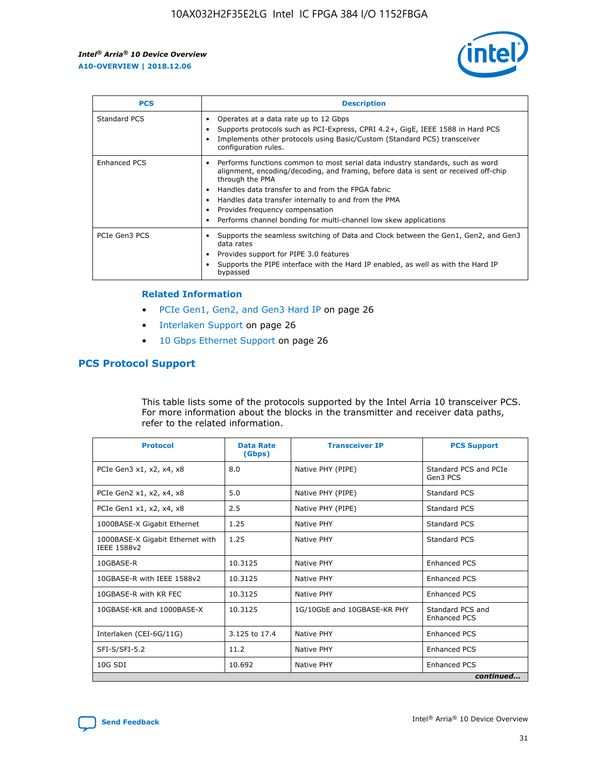

| <b>PCS</b>    | <b>Description</b>                                                                                                                                                                                                                                                                                                                                                                                             |
|---------------|----------------------------------------------------------------------------------------------------------------------------------------------------------------------------------------------------------------------------------------------------------------------------------------------------------------------------------------------------------------------------------------------------------------|
| Standard PCS  | Operates at a data rate up to 12 Gbps<br>Supports protocols such as PCI-Express, CPRI 4.2+, GigE, IEEE 1588 in Hard PCS<br>Implements other protocols using Basic/Custom (Standard PCS) transceiver<br>configuration rules.                                                                                                                                                                                    |
| Enhanced PCS  | Performs functions common to most serial data industry standards, such as word<br>alignment, encoding/decoding, and framing, before data is sent or received off-chip<br>through the PMA<br>• Handles data transfer to and from the FPGA fabric<br>Handles data transfer internally to and from the PMA<br>Provides frequency compensation<br>Performs channel bonding for multi-channel low skew applications |
| PCIe Gen3 PCS | Supports the seamless switching of Data and Clock between the Gen1, Gen2, and Gen3<br>data rates<br>Provides support for PIPE 3.0 features<br>Supports the PIPE interface with the Hard IP enabled, as well as with the Hard IP<br>bypassed                                                                                                                                                                    |

#### **Related Information**

- PCIe Gen1, Gen2, and Gen3 Hard IP on page 26
- Interlaken Support on page 26
- 10 Gbps Ethernet Support on page 26

### **PCS Protocol Support**

This table lists some of the protocols supported by the Intel Arria 10 transceiver PCS. For more information about the blocks in the transmitter and receiver data paths, refer to the related information.

| <b>Protocol</b>                                 | <b>Data Rate</b><br>(Gbps) | <b>Transceiver IP</b>       | <b>PCS Support</b>                      |
|-------------------------------------------------|----------------------------|-----------------------------|-----------------------------------------|
| PCIe Gen3 x1, x2, x4, x8                        | 8.0                        | Native PHY (PIPE)           | Standard PCS and PCIe<br>Gen3 PCS       |
| PCIe Gen2 x1, x2, x4, x8                        | 5.0                        | Native PHY (PIPE)           | <b>Standard PCS</b>                     |
| PCIe Gen1 x1, x2, x4, x8                        | 2.5                        | Native PHY (PIPE)           | Standard PCS                            |
| 1000BASE-X Gigabit Ethernet                     | 1.25                       | Native PHY                  | <b>Standard PCS</b>                     |
| 1000BASE-X Gigabit Ethernet with<br>IEEE 1588v2 | 1.25                       | Native PHY                  | Standard PCS                            |
| 10GBASE-R                                       | 10.3125                    | Native PHY                  | <b>Enhanced PCS</b>                     |
| 10GBASE-R with IEEE 1588v2                      | 10.3125                    | Native PHY                  | <b>Enhanced PCS</b>                     |
| 10GBASE-R with KR FEC                           | 10.3125                    | Native PHY                  | <b>Enhanced PCS</b>                     |
| 10GBASE-KR and 1000BASE-X                       | 10.3125                    | 1G/10GbE and 10GBASE-KR PHY | Standard PCS and<br><b>Enhanced PCS</b> |
| Interlaken (CEI-6G/11G)                         | 3.125 to 17.4              | Native PHY                  | <b>Enhanced PCS</b>                     |
| SFI-S/SFI-5.2                                   | 11.2                       | Native PHY                  | <b>Enhanced PCS</b>                     |
| $10G$ SDI                                       | 10.692                     | Native PHY                  | <b>Enhanced PCS</b>                     |
|                                                 |                            |                             | continued                               |

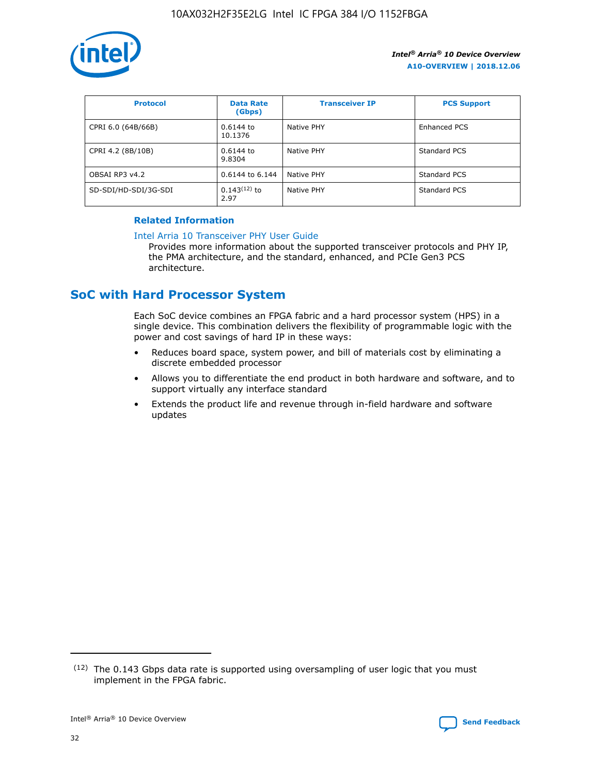

| <b>Protocol</b>      | <b>Data Rate</b><br>(Gbps) | <b>Transceiver IP</b> | <b>PCS Support</b> |
|----------------------|----------------------------|-----------------------|--------------------|
| CPRI 6.0 (64B/66B)   | 0.6144 to<br>10.1376       | Native PHY            | Enhanced PCS       |
| CPRI 4.2 (8B/10B)    | 0.6144 to<br>9.8304        | Native PHY            | Standard PCS       |
| OBSAI RP3 v4.2       | 0.6144 to 6.144            | Native PHY            | Standard PCS       |
| SD-SDI/HD-SDI/3G-SDI | $0.143(12)$ to<br>2.97     | Native PHY            | Standard PCS       |

#### **Related Information**

#### [Intel Arria 10 Transceiver PHY User Guide](https://www.intel.com/content/www/us/en/programmable/documentation/nik1398707230472.html#nik1398707091164)

Provides more information about the supported transceiver protocols and PHY IP, the PMA architecture, and the standard, enhanced, and PCIe Gen3 PCS architecture.

## **SoC with Hard Processor System**

Each SoC device combines an FPGA fabric and a hard processor system (HPS) in a single device. This combination delivers the flexibility of programmable logic with the power and cost savings of hard IP in these ways:

- Reduces board space, system power, and bill of materials cost by eliminating a discrete embedded processor
- Allows you to differentiate the end product in both hardware and software, and to support virtually any interface standard
- Extends the product life and revenue through in-field hardware and software updates

 $(12)$  The 0.143 Gbps data rate is supported using oversampling of user logic that you must implement in the FPGA fabric.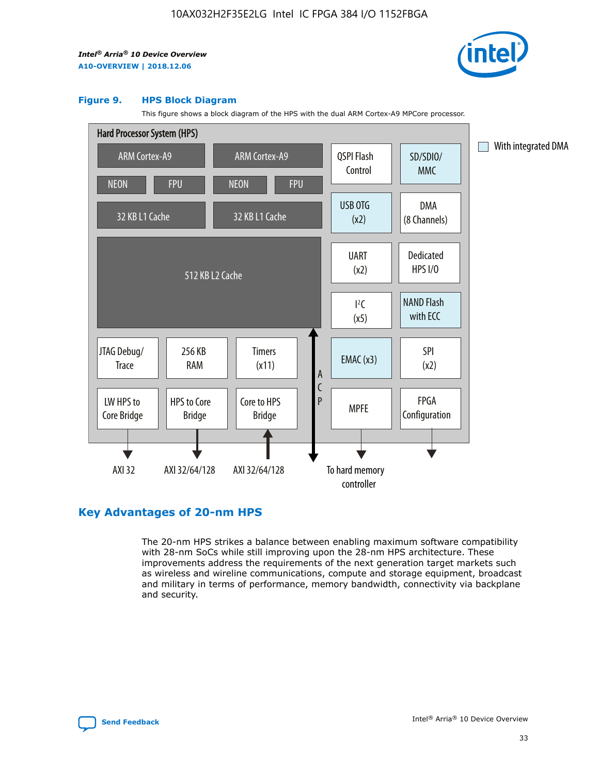

#### **Figure 9. HPS Block Diagram**

This figure shows a block diagram of the HPS with the dual ARM Cortex-A9 MPCore processor.



## **Key Advantages of 20-nm HPS**

The 20-nm HPS strikes a balance between enabling maximum software compatibility with 28-nm SoCs while still improving upon the 28-nm HPS architecture. These improvements address the requirements of the next generation target markets such as wireless and wireline communications, compute and storage equipment, broadcast and military in terms of performance, memory bandwidth, connectivity via backplane and security.

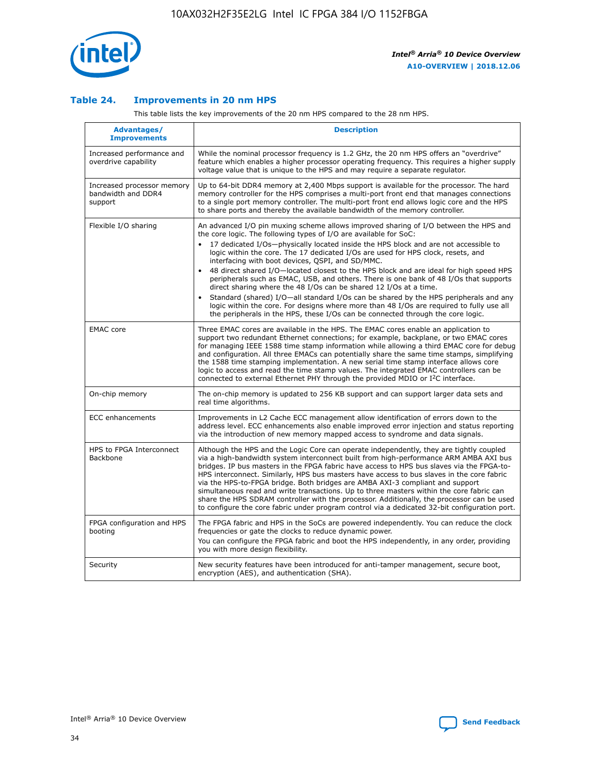

#### **Table 24. Improvements in 20 nm HPS**

This table lists the key improvements of the 20 nm HPS compared to the 28 nm HPS.

| Advantages/<br><b>Improvements</b>                          | <b>Description</b>                                                                                                                                                                                                                                                                                                                                                                                                                                                                                                                                                                                                                                                                                                                                                                                                                                                                                                                                |
|-------------------------------------------------------------|---------------------------------------------------------------------------------------------------------------------------------------------------------------------------------------------------------------------------------------------------------------------------------------------------------------------------------------------------------------------------------------------------------------------------------------------------------------------------------------------------------------------------------------------------------------------------------------------------------------------------------------------------------------------------------------------------------------------------------------------------------------------------------------------------------------------------------------------------------------------------------------------------------------------------------------------------|
| Increased performance and<br>overdrive capability           | While the nominal processor frequency is 1.2 GHz, the 20 nm HPS offers an "overdrive"<br>feature which enables a higher processor operating frequency. This requires a higher supply<br>voltage value that is unique to the HPS and may require a separate regulator.                                                                                                                                                                                                                                                                                                                                                                                                                                                                                                                                                                                                                                                                             |
| Increased processor memory<br>bandwidth and DDR4<br>support | Up to 64-bit DDR4 memory at 2,400 Mbps support is available for the processor. The hard<br>memory controller for the HPS comprises a multi-port front end that manages connections<br>to a single port memory controller. The multi-port front end allows logic core and the HPS<br>to share ports and thereby the available bandwidth of the memory controller.                                                                                                                                                                                                                                                                                                                                                                                                                                                                                                                                                                                  |
| Flexible I/O sharing                                        | An advanced I/O pin muxing scheme allows improved sharing of I/O between the HPS and<br>the core logic. The following types of I/O are available for SoC:<br>17 dedicated I/Os-physically located inside the HPS block and are not accessible to<br>$\bullet$<br>logic within the core. The 17 dedicated I/Os are used for HPS clock, resets, and<br>interfacing with boot devices, QSPI, and SD/MMC.<br>48 direct shared I/O-located closest to the HPS block and are ideal for high speed HPS<br>$\bullet$<br>peripherals such as EMAC, USB, and others. There is one bank of 48 I/Os that supports<br>direct sharing where the 48 I/Os can be shared 12 I/Os at a time.<br>Standard (shared) I/O-all standard I/Os can be shared by the HPS peripherals and any<br>logic within the core. For designs where more than 48 I/Os are reguired to fully use all<br>the peripherals in the HPS, these I/Os can be connected through the core logic. |
| <b>EMAC</b> core                                            | Three EMAC cores are available in the HPS. The EMAC cores enable an application to<br>support two redundant Ethernet connections; for example, backplane, or two EMAC cores<br>for managing IEEE 1588 time stamp information while allowing a third EMAC core for debug<br>and configuration. All three EMACs can potentially share the same time stamps, simplifying<br>the 1588 time stamping implementation. A new serial time stamp interface allows core<br>logic to access and read the time stamp values. The integrated EMAC controllers can be<br>connected to external Ethernet PHY through the provided MDIO or I <sup>2</sup> C interface.                                                                                                                                                                                                                                                                                            |
| On-chip memory                                              | The on-chip memory is updated to 256 KB support and can support larger data sets and<br>real time algorithms.                                                                                                                                                                                                                                                                                                                                                                                                                                                                                                                                                                                                                                                                                                                                                                                                                                     |
| <b>ECC</b> enhancements                                     | Improvements in L2 Cache ECC management allow identification of errors down to the<br>address level. ECC enhancements also enable improved error injection and status reporting<br>via the introduction of new memory mapped access to syndrome and data signals.                                                                                                                                                                                                                                                                                                                                                                                                                                                                                                                                                                                                                                                                                 |
| HPS to FPGA Interconnect<br>Backbone                        | Although the HPS and the Logic Core can operate independently, they are tightly coupled<br>via a high-bandwidth system interconnect built from high-performance ARM AMBA AXI bus<br>bridges. IP bus masters in the FPGA fabric have access to HPS bus slaves via the FPGA-to-<br>HPS interconnect. Similarly, HPS bus masters have access to bus slaves in the core fabric<br>via the HPS-to-FPGA bridge. Both bridges are AMBA AXI-3 compliant and support<br>simultaneous read and write transactions. Up to three masters within the core fabric can<br>share the HPS SDRAM controller with the processor. Additionally, the processor can be used<br>to configure the core fabric under program control via a dedicated 32-bit configuration port.                                                                                                                                                                                            |
| FPGA configuration and HPS<br>booting                       | The FPGA fabric and HPS in the SoCs are powered independently. You can reduce the clock<br>frequencies or gate the clocks to reduce dynamic power.<br>You can configure the FPGA fabric and boot the HPS independently, in any order, providing<br>you with more design flexibility.                                                                                                                                                                                                                                                                                                                                                                                                                                                                                                                                                                                                                                                              |
| Security                                                    | New security features have been introduced for anti-tamper management, secure boot,<br>encryption (AES), and authentication (SHA).                                                                                                                                                                                                                                                                                                                                                                                                                                                                                                                                                                                                                                                                                                                                                                                                                |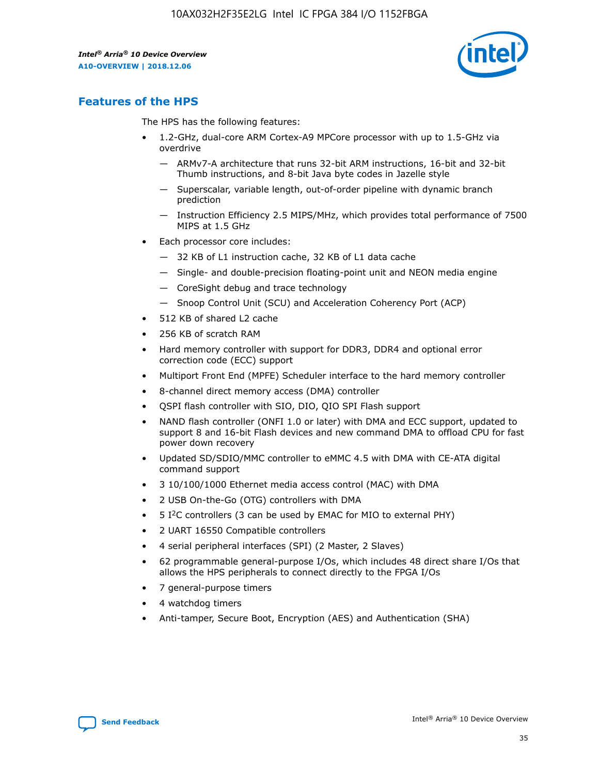

## **Features of the HPS**

The HPS has the following features:

- 1.2-GHz, dual-core ARM Cortex-A9 MPCore processor with up to 1.5-GHz via overdrive
	- ARMv7-A architecture that runs 32-bit ARM instructions, 16-bit and 32-bit Thumb instructions, and 8-bit Java byte codes in Jazelle style
	- Superscalar, variable length, out-of-order pipeline with dynamic branch prediction
	- Instruction Efficiency 2.5 MIPS/MHz, which provides total performance of 7500 MIPS at 1.5 GHz
- Each processor core includes:
	- 32 KB of L1 instruction cache, 32 KB of L1 data cache
	- Single- and double-precision floating-point unit and NEON media engine
	- CoreSight debug and trace technology
	- Snoop Control Unit (SCU) and Acceleration Coherency Port (ACP)
- 512 KB of shared L2 cache
- 256 KB of scratch RAM
- Hard memory controller with support for DDR3, DDR4 and optional error correction code (ECC) support
- Multiport Front End (MPFE) Scheduler interface to the hard memory controller
- 8-channel direct memory access (DMA) controller
- QSPI flash controller with SIO, DIO, QIO SPI Flash support
- NAND flash controller (ONFI 1.0 or later) with DMA and ECC support, updated to support 8 and 16-bit Flash devices and new command DMA to offload CPU for fast power down recovery
- Updated SD/SDIO/MMC controller to eMMC 4.5 with DMA with CE-ATA digital command support
- 3 10/100/1000 Ethernet media access control (MAC) with DMA
- 2 USB On-the-Go (OTG) controllers with DMA
- $\bullet$  5 I<sup>2</sup>C controllers (3 can be used by EMAC for MIO to external PHY)
- 2 UART 16550 Compatible controllers
- 4 serial peripheral interfaces (SPI) (2 Master, 2 Slaves)
- 62 programmable general-purpose I/Os, which includes 48 direct share I/Os that allows the HPS peripherals to connect directly to the FPGA I/Os
- 7 general-purpose timers
- 4 watchdog timers
- Anti-tamper, Secure Boot, Encryption (AES) and Authentication (SHA)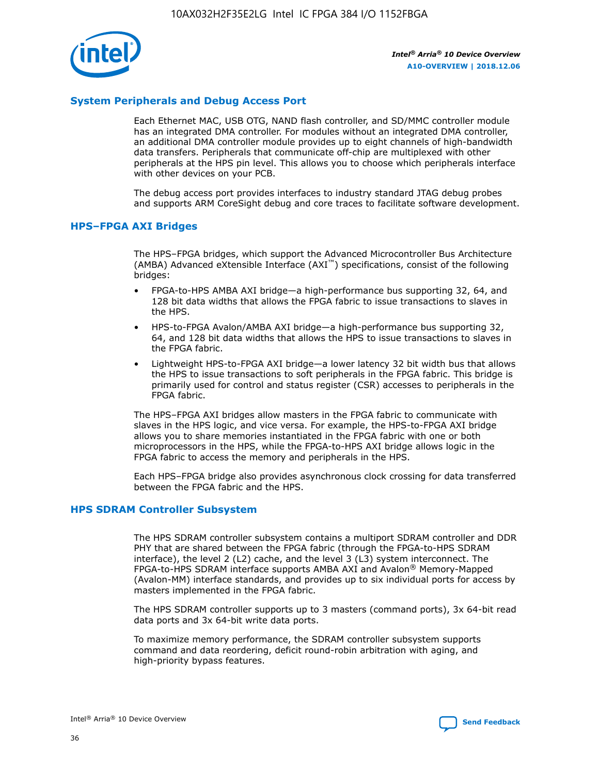

#### **System Peripherals and Debug Access Port**

Each Ethernet MAC, USB OTG, NAND flash controller, and SD/MMC controller module has an integrated DMA controller. For modules without an integrated DMA controller, an additional DMA controller module provides up to eight channels of high-bandwidth data transfers. Peripherals that communicate off-chip are multiplexed with other peripherals at the HPS pin level. This allows you to choose which peripherals interface with other devices on your PCB.

The debug access port provides interfaces to industry standard JTAG debug probes and supports ARM CoreSight debug and core traces to facilitate software development.

#### **HPS–FPGA AXI Bridges**

The HPS–FPGA bridges, which support the Advanced Microcontroller Bus Architecture (AMBA) Advanced eXtensible Interface (AXI™) specifications, consist of the following bridges:

- FPGA-to-HPS AMBA AXI bridge—a high-performance bus supporting 32, 64, and 128 bit data widths that allows the FPGA fabric to issue transactions to slaves in the HPS.
- HPS-to-FPGA Avalon/AMBA AXI bridge—a high-performance bus supporting 32, 64, and 128 bit data widths that allows the HPS to issue transactions to slaves in the FPGA fabric.
- Lightweight HPS-to-FPGA AXI bridge—a lower latency 32 bit width bus that allows the HPS to issue transactions to soft peripherals in the FPGA fabric. This bridge is primarily used for control and status register (CSR) accesses to peripherals in the FPGA fabric.

The HPS–FPGA AXI bridges allow masters in the FPGA fabric to communicate with slaves in the HPS logic, and vice versa. For example, the HPS-to-FPGA AXI bridge allows you to share memories instantiated in the FPGA fabric with one or both microprocessors in the HPS, while the FPGA-to-HPS AXI bridge allows logic in the FPGA fabric to access the memory and peripherals in the HPS.

Each HPS–FPGA bridge also provides asynchronous clock crossing for data transferred between the FPGA fabric and the HPS.

#### **HPS SDRAM Controller Subsystem**

The HPS SDRAM controller subsystem contains a multiport SDRAM controller and DDR PHY that are shared between the FPGA fabric (through the FPGA-to-HPS SDRAM interface), the level 2 (L2) cache, and the level 3 (L3) system interconnect. The FPGA-to-HPS SDRAM interface supports AMBA AXI and Avalon® Memory-Mapped (Avalon-MM) interface standards, and provides up to six individual ports for access by masters implemented in the FPGA fabric.

The HPS SDRAM controller supports up to 3 masters (command ports), 3x 64-bit read data ports and 3x 64-bit write data ports.

To maximize memory performance, the SDRAM controller subsystem supports command and data reordering, deficit round-robin arbitration with aging, and high-priority bypass features.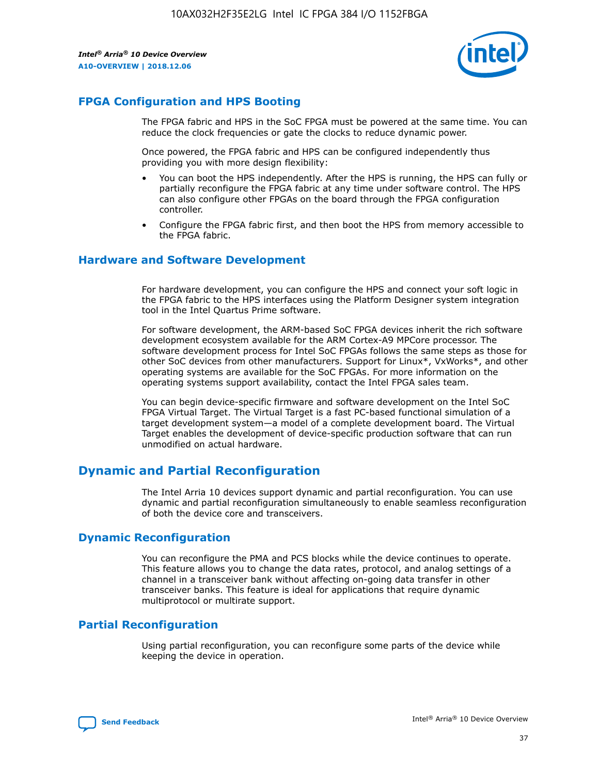

## **FPGA Configuration and HPS Booting**

The FPGA fabric and HPS in the SoC FPGA must be powered at the same time. You can reduce the clock frequencies or gate the clocks to reduce dynamic power.

Once powered, the FPGA fabric and HPS can be configured independently thus providing you with more design flexibility:

- You can boot the HPS independently. After the HPS is running, the HPS can fully or partially reconfigure the FPGA fabric at any time under software control. The HPS can also configure other FPGAs on the board through the FPGA configuration controller.
- Configure the FPGA fabric first, and then boot the HPS from memory accessible to the FPGA fabric.

#### **Hardware and Software Development**

For hardware development, you can configure the HPS and connect your soft logic in the FPGA fabric to the HPS interfaces using the Platform Designer system integration tool in the Intel Quartus Prime software.

For software development, the ARM-based SoC FPGA devices inherit the rich software development ecosystem available for the ARM Cortex-A9 MPCore processor. The software development process for Intel SoC FPGAs follows the same steps as those for other SoC devices from other manufacturers. Support for Linux\*, VxWorks\*, and other operating systems are available for the SoC FPGAs. For more information on the operating systems support availability, contact the Intel FPGA sales team.

You can begin device-specific firmware and software development on the Intel SoC FPGA Virtual Target. The Virtual Target is a fast PC-based functional simulation of a target development system—a model of a complete development board. The Virtual Target enables the development of device-specific production software that can run unmodified on actual hardware.

## **Dynamic and Partial Reconfiguration**

The Intel Arria 10 devices support dynamic and partial reconfiguration. You can use dynamic and partial reconfiguration simultaneously to enable seamless reconfiguration of both the device core and transceivers.

## **Dynamic Reconfiguration**

You can reconfigure the PMA and PCS blocks while the device continues to operate. This feature allows you to change the data rates, protocol, and analog settings of a channel in a transceiver bank without affecting on-going data transfer in other transceiver banks. This feature is ideal for applications that require dynamic multiprotocol or multirate support.

## **Partial Reconfiguration**

Using partial reconfiguration, you can reconfigure some parts of the device while keeping the device in operation.

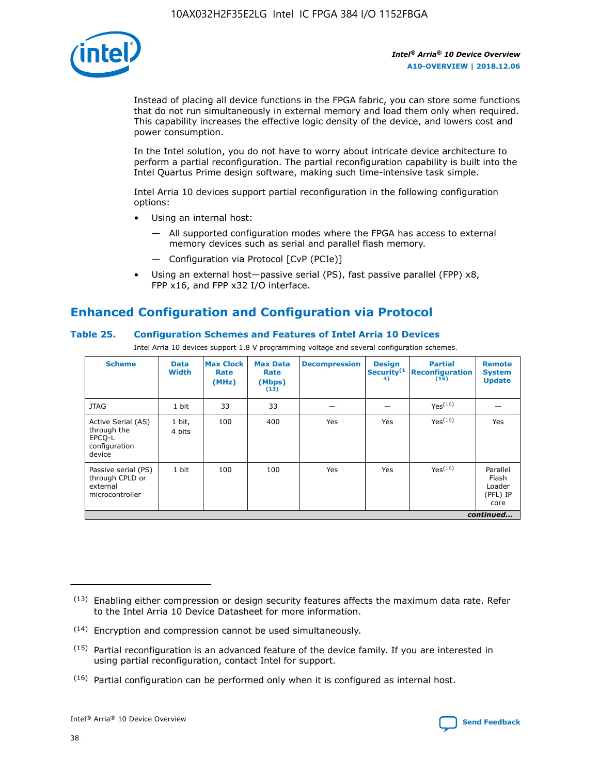

Instead of placing all device functions in the FPGA fabric, you can store some functions that do not run simultaneously in external memory and load them only when required. This capability increases the effective logic density of the device, and lowers cost and power consumption.

In the Intel solution, you do not have to worry about intricate device architecture to perform a partial reconfiguration. The partial reconfiguration capability is built into the Intel Quartus Prime design software, making such time-intensive task simple.

Intel Arria 10 devices support partial reconfiguration in the following configuration options:

- Using an internal host:
	- All supported configuration modes where the FPGA has access to external memory devices such as serial and parallel flash memory.
	- Configuration via Protocol [CvP (PCIe)]
- Using an external host—passive serial (PS), fast passive parallel (FPP) x8, FPP x16, and FPP x32 I/O interface.

## **Enhanced Configuration and Configuration via Protocol**

#### **Table 25. Configuration Schemes and Features of Intel Arria 10 Devices**

Intel Arria 10 devices support 1.8 V programming voltage and several configuration schemes.

| <b>Scheme</b>                                                          | <b>Data</b><br><b>Width</b> | <b>Max Clock</b><br>Rate<br>(MHz) | <b>Max Data</b><br>Rate<br>(Mbps)<br>(13) | <b>Decompression</b> | <b>Design</b><br>Security <sup>(1</sup><br>4) | <b>Partial</b><br>Reconfiguration<br>(15) | <b>Remote</b><br><b>System</b><br><b>Update</b> |
|------------------------------------------------------------------------|-----------------------------|-----------------------------------|-------------------------------------------|----------------------|-----------------------------------------------|-------------------------------------------|-------------------------------------------------|
| <b>JTAG</b>                                                            | 1 bit                       | 33                                | 33                                        |                      |                                               | Yes(16)                                   |                                                 |
| Active Serial (AS)<br>through the<br>EPCO-L<br>configuration<br>device | 1 bit,<br>4 bits            | 100                               | 400                                       | Yes                  | Yes                                           | Yes(16)                                   | Yes                                             |
| Passive serial (PS)<br>through CPLD or<br>external<br>microcontroller  | 1 bit                       | 100                               | 100                                       | Yes                  | Yes                                           | Yes <sup>(16)</sup>                       | Parallel<br>Flash<br>Loader<br>(PFL) IP<br>core |
|                                                                        |                             |                                   |                                           |                      |                                               |                                           | continued                                       |

<sup>(13)</sup> Enabling either compression or design security features affects the maximum data rate. Refer to the Intel Arria 10 Device Datasheet for more information.

<sup>(14)</sup> Encryption and compression cannot be used simultaneously.

 $(15)$  Partial reconfiguration is an advanced feature of the device family. If you are interested in using partial reconfiguration, contact Intel for support.

 $(16)$  Partial configuration can be performed only when it is configured as internal host.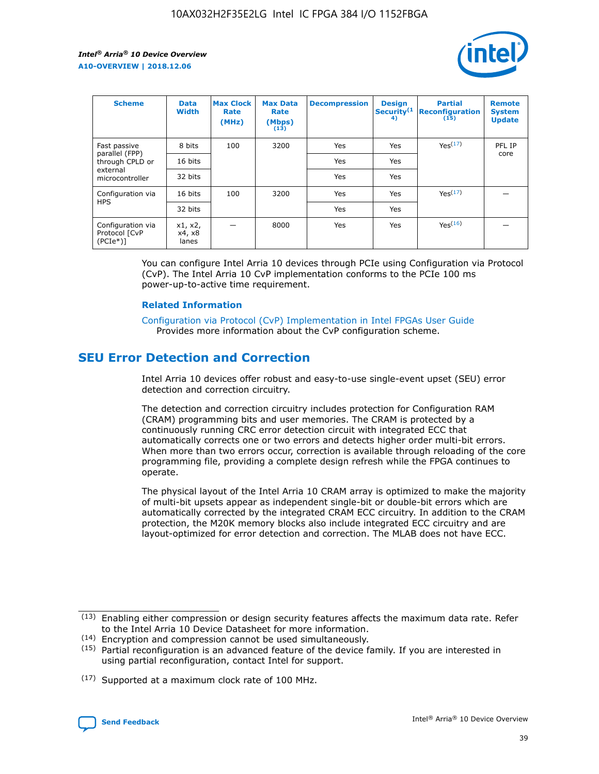

| <b>Scheme</b>                                   | <b>Data</b><br><b>Width</b> | <b>Max Clock</b><br>Rate<br>(MHz) | <b>Max Data</b><br>Rate<br>(Mbps)<br>(13) | <b>Decompression</b> | <b>Design</b><br>Security <sup>(1</sup><br>4) | <b>Partial</b><br><b>Reconfiguration</b><br>(15) | <b>Remote</b><br><b>System</b><br><b>Update</b> |
|-------------------------------------------------|-----------------------------|-----------------------------------|-------------------------------------------|----------------------|-----------------------------------------------|--------------------------------------------------|-------------------------------------------------|
| Fast passive                                    | 8 bits                      | 100                               | 3200                                      | Yes                  | Yes                                           | Yes(17)                                          | PFL IP                                          |
| parallel (FPP)<br>through CPLD or               | 16 bits                     |                                   |                                           | Yes                  | Yes                                           |                                                  | core                                            |
| external<br>microcontroller                     | 32 bits                     |                                   |                                           | Yes                  | Yes                                           |                                                  |                                                 |
| Configuration via                               | 16 bits                     | 100                               | 3200                                      | Yes                  | Yes                                           | Yes <sup>(17)</sup>                              |                                                 |
| <b>HPS</b>                                      | 32 bits                     |                                   |                                           | Yes                  | Yes                                           |                                                  |                                                 |
| Configuration via<br>Protocol [CvP<br>$(PCIe*)$ | x1, x2,<br>x4, x8<br>lanes  |                                   | 8000                                      | Yes                  | Yes                                           | Yes <sup>(16)</sup>                              |                                                 |

You can configure Intel Arria 10 devices through PCIe using Configuration via Protocol (CvP). The Intel Arria 10 CvP implementation conforms to the PCIe 100 ms power-up-to-active time requirement.

#### **Related Information**

[Configuration via Protocol \(CvP\) Implementation in Intel FPGAs User Guide](https://www.intel.com/content/www/us/en/programmable/documentation/dsu1441819344145.html#dsu1442269728522) Provides more information about the CvP configuration scheme.

## **SEU Error Detection and Correction**

Intel Arria 10 devices offer robust and easy-to-use single-event upset (SEU) error detection and correction circuitry.

The detection and correction circuitry includes protection for Configuration RAM (CRAM) programming bits and user memories. The CRAM is protected by a continuously running CRC error detection circuit with integrated ECC that automatically corrects one or two errors and detects higher order multi-bit errors. When more than two errors occur, correction is available through reloading of the core programming file, providing a complete design refresh while the FPGA continues to operate.

The physical layout of the Intel Arria 10 CRAM array is optimized to make the majority of multi-bit upsets appear as independent single-bit or double-bit errors which are automatically corrected by the integrated CRAM ECC circuitry. In addition to the CRAM protection, the M20K memory blocks also include integrated ECC circuitry and are layout-optimized for error detection and correction. The MLAB does not have ECC.

(14) Encryption and compression cannot be used simultaneously.

<sup>(17)</sup> Supported at a maximum clock rate of 100 MHz.



 $(13)$  Enabling either compression or design security features affects the maximum data rate. Refer to the Intel Arria 10 Device Datasheet for more information.

 $(15)$  Partial reconfiguration is an advanced feature of the device family. If you are interested in using partial reconfiguration, contact Intel for support.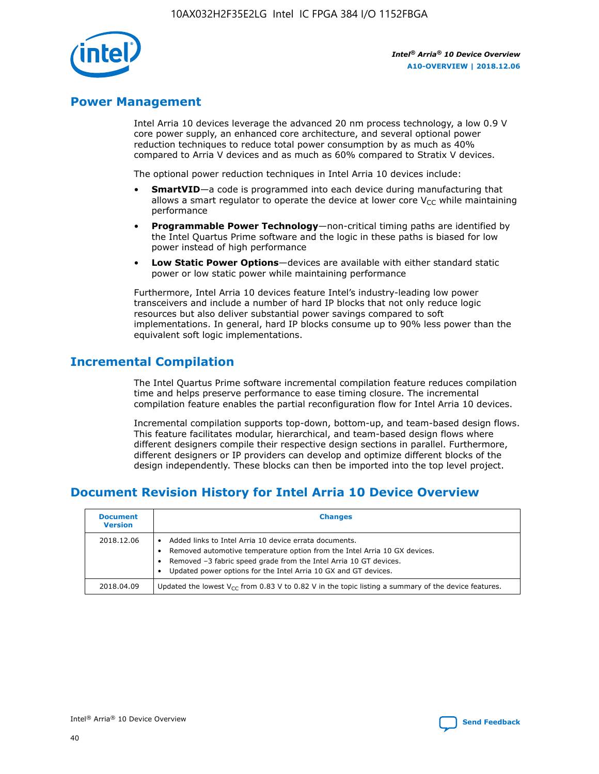

## **Power Management**

Intel Arria 10 devices leverage the advanced 20 nm process technology, a low 0.9 V core power supply, an enhanced core architecture, and several optional power reduction techniques to reduce total power consumption by as much as 40% compared to Arria V devices and as much as 60% compared to Stratix V devices.

The optional power reduction techniques in Intel Arria 10 devices include:

- **SmartVID**—a code is programmed into each device during manufacturing that allows a smart regulator to operate the device at lower core  $V_{CC}$  while maintaining performance
- **Programmable Power Technology**—non-critical timing paths are identified by the Intel Quartus Prime software and the logic in these paths is biased for low power instead of high performance
- **Low Static Power Options**—devices are available with either standard static power or low static power while maintaining performance

Furthermore, Intel Arria 10 devices feature Intel's industry-leading low power transceivers and include a number of hard IP blocks that not only reduce logic resources but also deliver substantial power savings compared to soft implementations. In general, hard IP blocks consume up to 90% less power than the equivalent soft logic implementations.

## **Incremental Compilation**

The Intel Quartus Prime software incremental compilation feature reduces compilation time and helps preserve performance to ease timing closure. The incremental compilation feature enables the partial reconfiguration flow for Intel Arria 10 devices.

Incremental compilation supports top-down, bottom-up, and team-based design flows. This feature facilitates modular, hierarchical, and team-based design flows where different designers compile their respective design sections in parallel. Furthermore, different designers or IP providers can develop and optimize different blocks of the design independently. These blocks can then be imported into the top level project.

## **Document Revision History for Intel Arria 10 Device Overview**

| <b>Document</b><br><b>Version</b> | <b>Changes</b>                                                                                                                                                                                                                                                              |
|-----------------------------------|-----------------------------------------------------------------------------------------------------------------------------------------------------------------------------------------------------------------------------------------------------------------------------|
| 2018.12.06                        | Added links to Intel Arria 10 device errata documents.<br>Removed automotive temperature option from the Intel Arria 10 GX devices.<br>Removed -3 fabric speed grade from the Intel Arria 10 GT devices.<br>Updated power options for the Intel Arria 10 GX and GT devices. |
| 2018.04.09                        | Updated the lowest $V_{CC}$ from 0.83 V to 0.82 V in the topic listing a summary of the device features.                                                                                                                                                                    |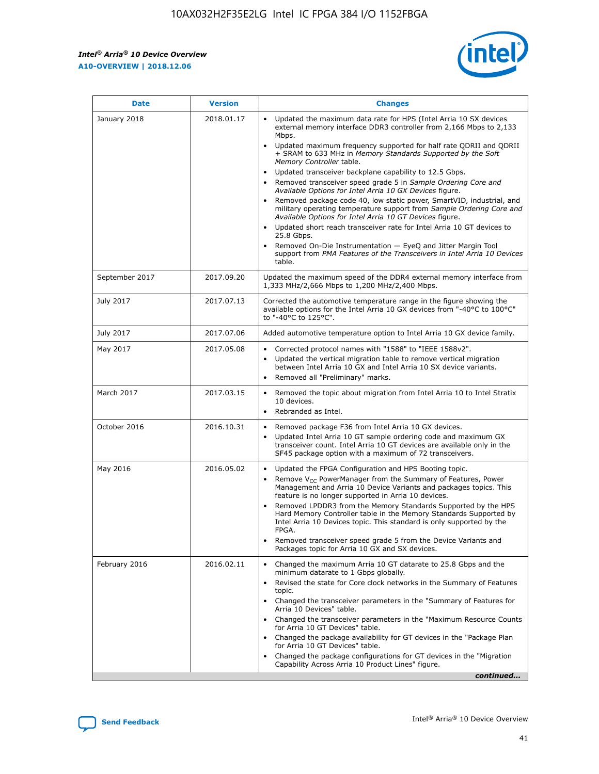*Intel® Arria® 10 Device Overview* **A10-OVERVIEW | 2018.12.06**



| <b>Date</b>    | <b>Version</b> | <b>Changes</b>                                                                                                                                                                                                                                                                                                                                                                                                                                                                                                                                                                                                                                                                                                                                                                                                                                                                                                                                                                         |
|----------------|----------------|----------------------------------------------------------------------------------------------------------------------------------------------------------------------------------------------------------------------------------------------------------------------------------------------------------------------------------------------------------------------------------------------------------------------------------------------------------------------------------------------------------------------------------------------------------------------------------------------------------------------------------------------------------------------------------------------------------------------------------------------------------------------------------------------------------------------------------------------------------------------------------------------------------------------------------------------------------------------------------------|
| January 2018   | 2018.01.17     | Updated the maximum data rate for HPS (Intel Arria 10 SX devices<br>external memory interface DDR3 controller from 2,166 Mbps to 2,133<br>Mbps.<br>Updated maximum frequency supported for half rate QDRII and QDRII<br>+ SRAM to 633 MHz in Memory Standards Supported by the Soft<br>Memory Controller table.<br>Updated transceiver backplane capability to 12.5 Gbps.<br>$\bullet$<br>Removed transceiver speed grade 5 in Sample Ordering Core and<br>$\bullet$<br>Available Options for Intel Arria 10 GX Devices figure.<br>Removed package code 40, low static power, SmartVID, industrial, and<br>military operating temperature support from Sample Ordering Core and<br>Available Options for Intel Arria 10 GT Devices figure.<br>Updated short reach transceiver rate for Intel Arria 10 GT devices to<br>25.8 Gbps.<br>Removed On-Die Instrumentation - EyeQ and Jitter Margin Tool<br>support from PMA Features of the Transceivers in Intel Arria 10 Devices<br>table. |
| September 2017 | 2017.09.20     | Updated the maximum speed of the DDR4 external memory interface from<br>1,333 MHz/2,666 Mbps to 1,200 MHz/2,400 Mbps.                                                                                                                                                                                                                                                                                                                                                                                                                                                                                                                                                                                                                                                                                                                                                                                                                                                                  |
| July 2017      | 2017.07.13     | Corrected the automotive temperature range in the figure showing the<br>available options for the Intel Arria 10 GX devices from "-40°C to 100°C"<br>to "-40°C to 125°C".                                                                                                                                                                                                                                                                                                                                                                                                                                                                                                                                                                                                                                                                                                                                                                                                              |
| July 2017      | 2017.07.06     | Added automotive temperature option to Intel Arria 10 GX device family.                                                                                                                                                                                                                                                                                                                                                                                                                                                                                                                                                                                                                                                                                                                                                                                                                                                                                                                |
| May 2017       | 2017.05.08     | Corrected protocol names with "1588" to "IEEE 1588v2".<br>$\bullet$<br>Updated the vertical migration table to remove vertical migration<br>$\bullet$<br>between Intel Arria 10 GX and Intel Arria 10 SX device variants.<br>Removed all "Preliminary" marks.<br>$\bullet$                                                                                                                                                                                                                                                                                                                                                                                                                                                                                                                                                                                                                                                                                                             |
| March 2017     | 2017.03.15     | Removed the topic about migration from Intel Arria 10 to Intel Stratix<br>$\bullet$<br>10 devices.<br>Rebranded as Intel.<br>$\bullet$                                                                                                                                                                                                                                                                                                                                                                                                                                                                                                                                                                                                                                                                                                                                                                                                                                                 |
| October 2016   | 2016.10.31     | Removed package F36 from Intel Arria 10 GX devices.<br>Updated Intel Arria 10 GT sample ordering code and maximum GX<br>$\bullet$<br>transceiver count. Intel Arria 10 GT devices are available only in the<br>SF45 package option with a maximum of 72 transceivers.                                                                                                                                                                                                                                                                                                                                                                                                                                                                                                                                                                                                                                                                                                                  |
| May 2016       | 2016.05.02     | Updated the FPGA Configuration and HPS Booting topic.<br>$\bullet$<br>Remove V <sub>CC</sub> PowerManager from the Summary of Features, Power<br>Management and Arria 10 Device Variants and packages topics. This<br>feature is no longer supported in Arria 10 devices.<br>Removed LPDDR3 from the Memory Standards Supported by the HPS<br>Hard Memory Controller table in the Memory Standards Supported by<br>Intel Arria 10 Devices topic. This standard is only supported by the<br>FPGA.<br>Removed transceiver speed grade 5 from the Device Variants and<br>Packages topic for Arria 10 GX and SX devices.                                                                                                                                                                                                                                                                                                                                                                   |
| February 2016  | 2016.02.11     | Changed the maximum Arria 10 GT datarate to 25.8 Gbps and the<br>minimum datarate to 1 Gbps globally.<br>Revised the state for Core clock networks in the Summary of Features<br>$\bullet$<br>topic.<br>Changed the transceiver parameters in the "Summary of Features for<br>$\bullet$<br>Arria 10 Devices" table.<br>• Changed the transceiver parameters in the "Maximum Resource Counts<br>for Arria 10 GT Devices" table.<br>Changed the package availability for GT devices in the "Package Plan<br>for Arria 10 GT Devices" table.<br>Changed the package configurations for GT devices in the "Migration"<br>Capability Across Arria 10 Product Lines" figure.<br>continued                                                                                                                                                                                                                                                                                                    |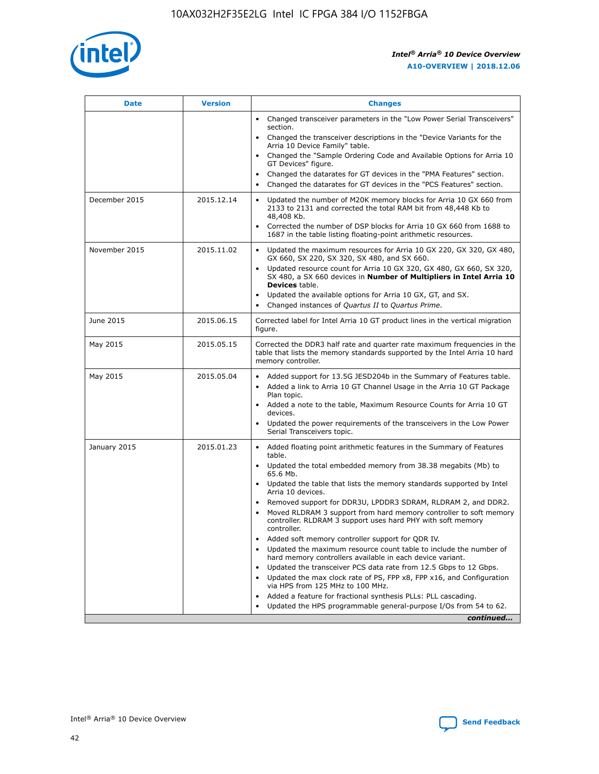

| <b>Date</b>   | <b>Version</b> | <b>Changes</b>                                                                                                                                                               |
|---------------|----------------|------------------------------------------------------------------------------------------------------------------------------------------------------------------------------|
|               |                | • Changed transceiver parameters in the "Low Power Serial Transceivers"<br>section.                                                                                          |
|               |                | • Changed the transceiver descriptions in the "Device Variants for the<br>Arria 10 Device Family" table.                                                                     |
|               |                | Changed the "Sample Ordering Code and Available Options for Arria 10<br>$\bullet$<br>GT Devices" figure.                                                                     |
|               |                | Changed the datarates for GT devices in the "PMA Features" section.                                                                                                          |
|               |                | Changed the datarates for GT devices in the "PCS Features" section.<br>$\bullet$                                                                                             |
| December 2015 | 2015.12.14     | Updated the number of M20K memory blocks for Arria 10 GX 660 from<br>2133 to 2131 and corrected the total RAM bit from 48,448 Kb to<br>48,408 Kb.                            |
|               |                | Corrected the number of DSP blocks for Arria 10 GX 660 from 1688 to<br>1687 in the table listing floating-point arithmetic resources.                                        |
| November 2015 | 2015.11.02     | Updated the maximum resources for Arria 10 GX 220, GX 320, GX 480,<br>$\bullet$<br>GX 660, SX 220, SX 320, SX 480, and SX 660.                                               |
|               |                | • Updated resource count for Arria 10 GX 320, GX 480, GX 660, SX 320,<br>SX 480, a SX 660 devices in Number of Multipliers in Intel Arria 10<br><b>Devices</b> table.        |
|               |                | Updated the available options for Arria 10 GX, GT, and SX.                                                                                                                   |
|               |                | Changed instances of Quartus II to Quartus Prime.<br>$\bullet$                                                                                                               |
| June 2015     | 2015.06.15     | Corrected label for Intel Arria 10 GT product lines in the vertical migration<br>figure.                                                                                     |
| May 2015      | 2015.05.15     | Corrected the DDR3 half rate and quarter rate maximum frequencies in the<br>table that lists the memory standards supported by the Intel Arria 10 hard<br>memory controller. |
| May 2015      | 2015.05.04     | • Added support for 13.5G JESD204b in the Summary of Features table.                                                                                                         |
|               |                | • Added a link to Arria 10 GT Channel Usage in the Arria 10 GT Package<br>Plan topic.                                                                                        |
|               |                | • Added a note to the table, Maximum Resource Counts for Arria 10 GT<br>devices.                                                                                             |
|               |                | • Updated the power requirements of the transceivers in the Low Power<br>Serial Transceivers topic.                                                                          |
| January 2015  | 2015.01.23     | • Added floating point arithmetic features in the Summary of Features<br>table.                                                                                              |
|               |                | • Updated the total embedded memory from 38.38 megabits (Mb) to<br>65.6 Mb.                                                                                                  |
|               |                | • Updated the table that lists the memory standards supported by Intel<br>Arria 10 devices.                                                                                  |
|               |                | Removed support for DDR3U, LPDDR3 SDRAM, RLDRAM 2, and DDR2.                                                                                                                 |
|               |                | Moved RLDRAM 3 support from hard memory controller to soft memory<br>controller. RLDRAM 3 support uses hard PHY with soft memory<br>controller.                              |
|               |                | Added soft memory controller support for QDR IV.<br>٠                                                                                                                        |
|               |                | Updated the maximum resource count table to include the number of<br>hard memory controllers available in each device variant.                                               |
|               |                | Updated the transceiver PCS data rate from 12.5 Gbps to 12 Gbps.<br>$\bullet$                                                                                                |
|               |                | Updated the max clock rate of PS, FPP x8, FPP x16, and Configuration<br>via HPS from 125 MHz to 100 MHz.                                                                     |
|               |                | Added a feature for fractional synthesis PLLs: PLL cascading.                                                                                                                |
|               |                | Updated the HPS programmable general-purpose I/Os from 54 to 62.<br>$\bullet$                                                                                                |
|               |                | continued                                                                                                                                                                    |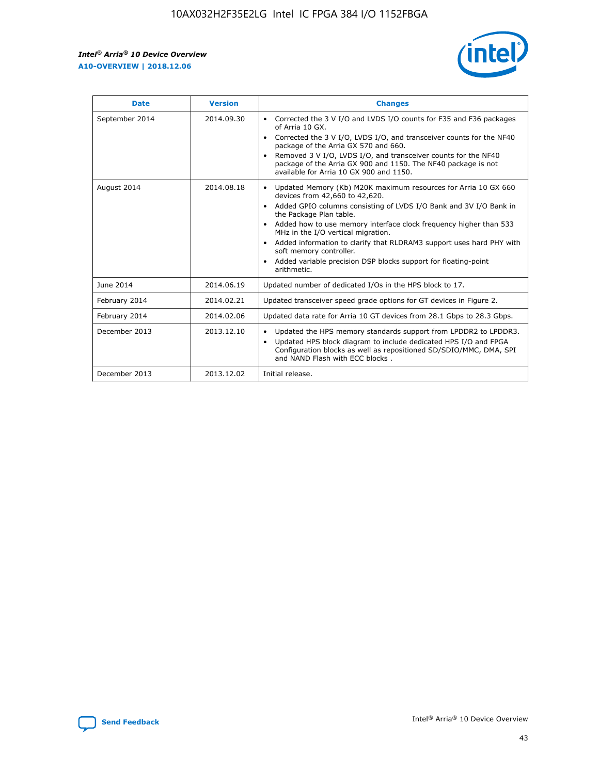r



| <b>Date</b>    | <b>Version</b> | <b>Changes</b>                                                                                                                                                                                                                                                                                                                                                                                                                                                                                                                                      |
|----------------|----------------|-----------------------------------------------------------------------------------------------------------------------------------------------------------------------------------------------------------------------------------------------------------------------------------------------------------------------------------------------------------------------------------------------------------------------------------------------------------------------------------------------------------------------------------------------------|
| September 2014 | 2014.09.30     | Corrected the 3 V I/O and LVDS I/O counts for F35 and F36 packages<br>$\bullet$<br>of Arria 10 GX.<br>Corrected the 3 V I/O, LVDS I/O, and transceiver counts for the NF40<br>$\bullet$<br>package of the Arria GX 570 and 660.<br>Removed 3 V I/O, LVDS I/O, and transceiver counts for the NF40<br>package of the Arria GX 900 and 1150. The NF40 package is not<br>available for Arria 10 GX 900 and 1150.                                                                                                                                       |
| August 2014    | 2014.08.18     | Updated Memory (Kb) M20K maximum resources for Arria 10 GX 660<br>devices from 42,660 to 42,620.<br>Added GPIO columns consisting of LVDS I/O Bank and 3V I/O Bank in<br>$\bullet$<br>the Package Plan table.<br>Added how to use memory interface clock frequency higher than 533<br>$\bullet$<br>MHz in the I/O vertical migration.<br>Added information to clarify that RLDRAM3 support uses hard PHY with<br>$\bullet$<br>soft memory controller.<br>Added variable precision DSP blocks support for floating-point<br>$\bullet$<br>arithmetic. |
| June 2014      | 2014.06.19     | Updated number of dedicated I/Os in the HPS block to 17.                                                                                                                                                                                                                                                                                                                                                                                                                                                                                            |
| February 2014  | 2014.02.21     | Updated transceiver speed grade options for GT devices in Figure 2.                                                                                                                                                                                                                                                                                                                                                                                                                                                                                 |
| February 2014  | 2014.02.06     | Updated data rate for Arria 10 GT devices from 28.1 Gbps to 28.3 Gbps.                                                                                                                                                                                                                                                                                                                                                                                                                                                                              |
| December 2013  | 2013.12.10     | Updated the HPS memory standards support from LPDDR2 to LPDDR3.<br>Updated HPS block diagram to include dedicated HPS I/O and FPGA<br>$\bullet$<br>Configuration blocks as well as repositioned SD/SDIO/MMC, DMA, SPI<br>and NAND Flash with ECC blocks.                                                                                                                                                                                                                                                                                            |
| December 2013  | 2013.12.02     | Initial release.                                                                                                                                                                                                                                                                                                                                                                                                                                                                                                                                    |